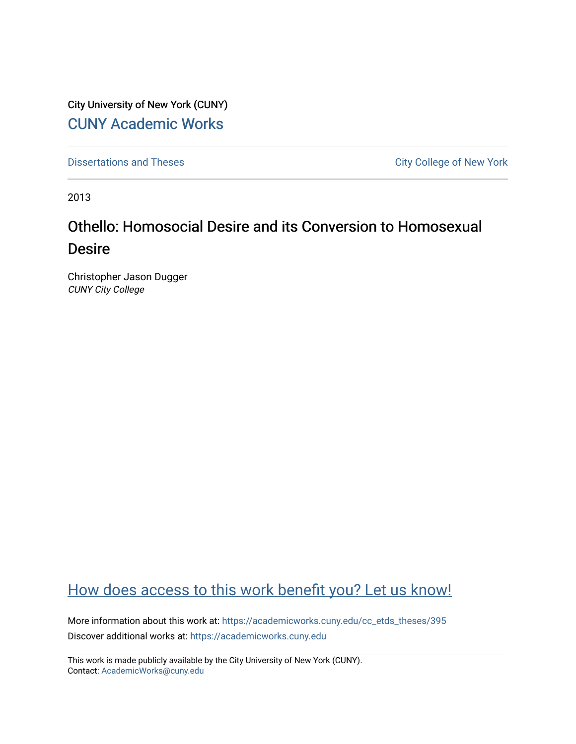City University of New York (CUNY) [CUNY Academic Works](https://academicworks.cuny.edu/) 

[Dissertations and Theses](https://academicworks.cuny.edu/cc_etds_theses) **City College of New York** City College of New York

2013

# Othello: Homosocial Desire and its Conversion to Homosexual Desire

Christopher Jason Dugger CUNY City College

## [How does access to this work benefit you? Let us know!](http://ols.cuny.edu/academicworks/?ref=https://academicworks.cuny.edu/cc_etds_theses/395)

More information about this work at: [https://academicworks.cuny.edu/cc\\_etds\\_theses/395](https://academicworks.cuny.edu/cc_etds_theses/395)  Discover additional works at: [https://academicworks.cuny.edu](https://academicworks.cuny.edu/?)

This work is made publicly available by the City University of New York (CUNY). Contact: [AcademicWorks@cuny.edu](mailto:AcademicWorks@cuny.edu)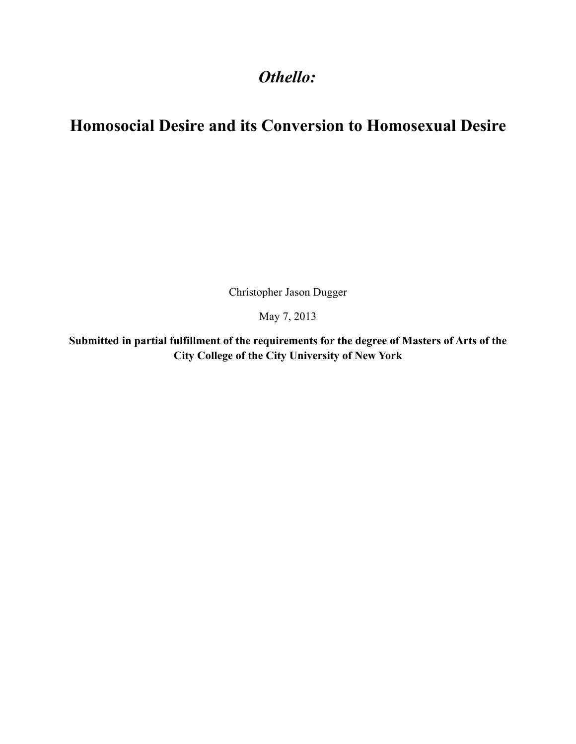## Othello:

# **Homosocial Desire and its Conversion to Homosexual Desire**

Christopher Jason Dugger

May 7, 2013

Submitted in partial fulfillment of the requirements for the degree of Masters of Arts of the City College of the City University of New York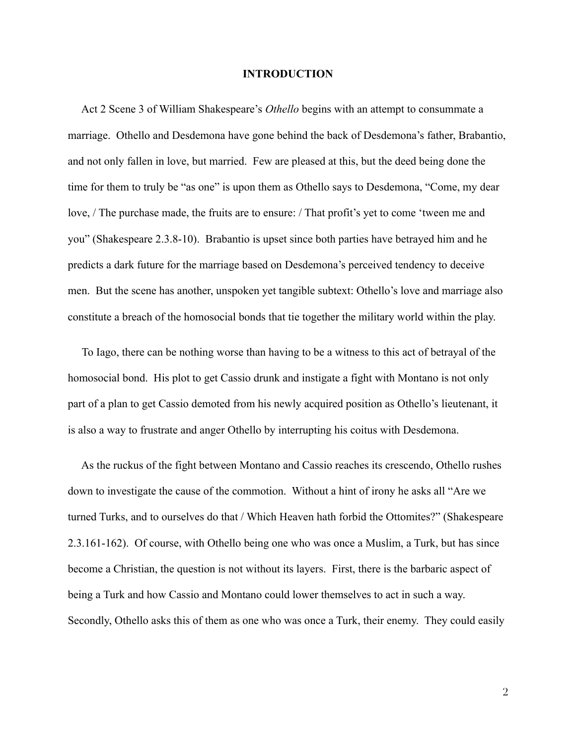#### **INTRODUCTION**

Act 2 Scene 3 of William Shakespeare's *Othello* begins with an attempt to consummate a marriage. Othello and Desdemona have gone behind the back of Desdemona's father, Brabantio, and not only fallen in love, but married. Few are pleased at this, but the deed being done the time for them to truly be "as one" is upon them as Othello says to Desdemona, "Come, my dear" love, / The purchase made, the fruits are to ensure: / That profit's yet to come 'tween me and you" (Shakespeare 2.3.8-10). Brabantio is upset since both parties have betrayed him and he predicts a dark future for the marriage based on Desdemona's perceived tendency to deceive men. But the scene has another, unspoken yet tangible subtext: Othello's love and marriage also constitute a breach of the homosocial bonds that tie together the military world within the play.

To lago, there can be nothing worse than having to be a witness to this act of betrayal of the homosocial bond. His plot to get Cassio drunk and instigate a fight with Montano is not only part of a plan to get Cassio demoted from his newly acquired position as Othello's lieutenant, it is also a way to frustrate and anger Othello by interrupting his coitus with Desdemona.

As the ruckus of the fight between Montano and Cassio reaches its crescendo, Othello rushes down to investigate the cause of the commotion. Without a hint of irony he asks all "Are we turned Turks, and to ourselves do that / Which Heaven hath forbid the Ottomites?" (Shakespeare 2.3.161-162). Of course, with Othello being one who was once a Muslim, a Turk, but has since become a Christian, the question is not without its layers. First, there is the barbaric aspect of being a Turk and how Cassio and Montano could lower themselves to act in such a way. Secondly, Othello asks this of them as one who was once a Turk, their enemy. They could easily

 $\overline{2}$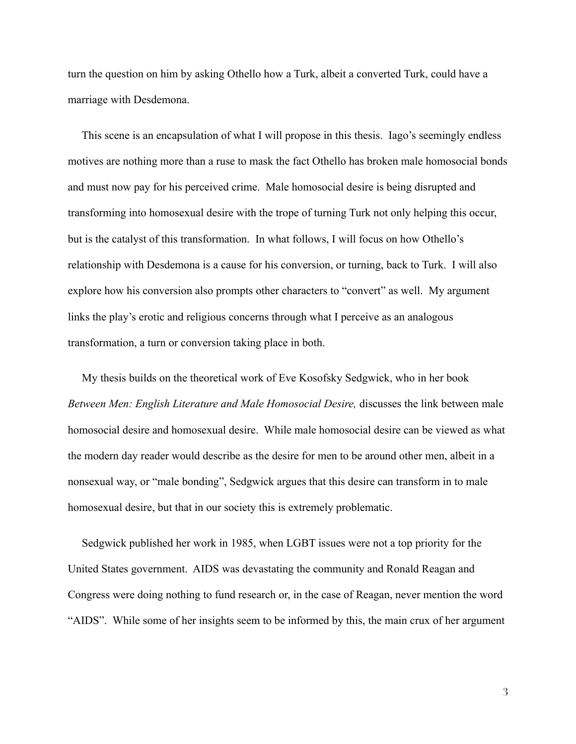turn the question on him by asking Othello how a Turk, albeit a converted Turk, could have a marriage with Desdemona.

This scene is an encapsulation of what I will propose in this thesis. Iago's seemingly endless motives are nothing more than a ruse to mask the fact Othello has broken male homosocial bonds and must now pay for his perceived crime. Male homosocial desire is being disrupted and transforming into homosexual desire with the trope of turning Turk not only helping this occur, but is the catalyst of this transformation. In what follows, I will focus on how Othello's relationship with Desdemona is a cause for his conversion, or turning, back to Turk. I will also explore how his conversion also prompts other characters to "convert" as well. My argument links the play's erotic and religious concerns through what I perceive as an analogous transformation, a turn or conversion taking place in both.

My thesis builds on the theoretical work of Eve Kosofsky Sedgwick, who in her book Between Men: English Literature and Male Homosocial Desire, discusses the link between male homosocial desire and homosexual desire. While male homosocial desire can be viewed as what the modern day reader would describe as the desire for men to be around other men, albeit in a nonsexual way, or "male bonding", Sedgwick argues that this desire can transform in to male homosexual desire, but that in our society this is extremely problematic.

Sedgwick published her work in 1985, when LGBT issues were not a top priority for the United States government. AIDS was devastating the community and Ronald Reagan and Congress were doing nothing to fund research or, in the case of Reagan, never mention the word "AIDS". While some of her insights seem to be informed by this, the main crux of her argument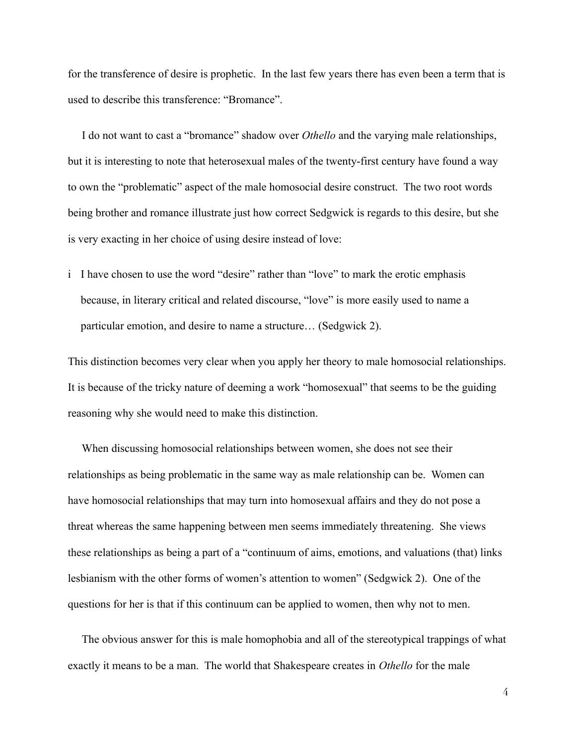for the transference of desire is prophetic. In the last few years there has even been a term that is used to describe this transference: "Bromance".

I do not want to cast a "bromance" shadow over *Othello* and the varying male relationships, but it is interesting to note that heterosexual males of the twenty-first century have found a way to own the "problematic" aspect of the male homosocial desire construct. The two root words being brother and romance illustrate just how correct Sedgwick is regards to this desire, but she is very exacting in her choice of using desire instead of love:

i I have chosen to use the word "desire" rather than "love" to mark the erotic emphasis because, in literary critical and related discourse, "love" is more easily used to name a particular emotion, and desire to name a structure... (Sedgwick 2).

This distinction becomes very clear when you apply her theory to male homosocial relationships. It is because of the tricky nature of deeming a work "homosexual" that seems to be the guiding reasoning why she would need to make this distinction.

When discussing homosocial relationships between women, she does not see their relationships as being problematic in the same way as male relationship can be. Women can have homosocial relationships that may turn into homosexual affairs and they do not pose a threat whereas the same happening between men seems immediately threatening. She views these relationships as being a part of a "continuum of aims, emotions, and valuations (that) links lesbianism with the other forms of women's attention to women" (Sedgwick 2). One of the questions for her is that if this continuum can be applied to women, then why not to men.

The obvious answer for this is male homophobia and all of the stereotypical trappings of what exactly it means to be a man. The world that Shakespeare creates in Othello for the male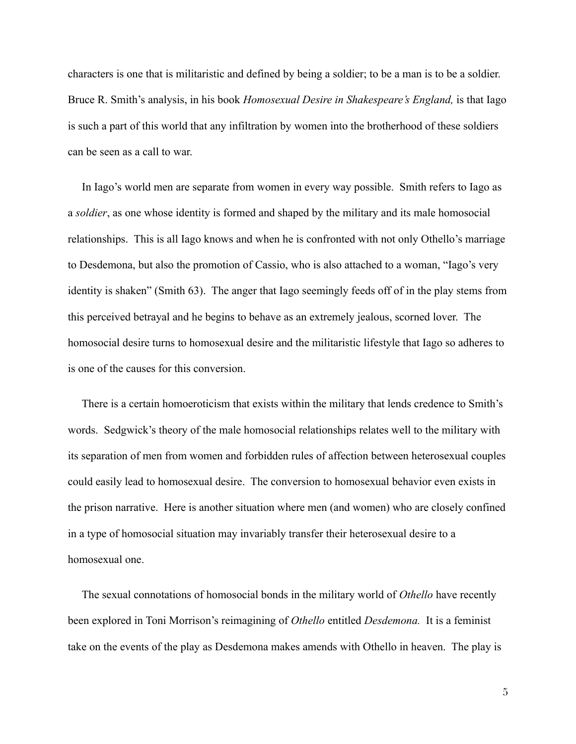characters is one that is militaristic and defined by being a soldier; to be a man is to be a soldier. Bruce R. Smith's analysis, in his book *Homosexual Desire in Shakespeare's England*, is that Iago is such a part of this world that any infiltration by women into the brotherhood of these soldiers can be seen as a call to war.

In Iago's world men are separate from women in every way possible. Smith refers to Iago as a *soldier*, as one whose identity is formed and shaped by the military and its male homosocial relationships. This is all Iago knows and when he is confronted with not only Othello's marriage to Desdemona, but also the promotion of Cassio, who is also attached to a woman, "Iago's very identity is shaken" (Smith 63). The anger that Iago seemingly feeds off of in the play stems from this perceived betrayal and he begins to behave as an extremely jealous, scorned lover. The homosocial desire turns to homosexual desire and the militaristic lifestyle that Iago so adheres to is one of the causes for this conversion.

There is a certain homoeroticism that exists within the military that lends credence to Smith's words. Sedgwick's theory of the male homosocial relationships relates well to the military with its separation of men from women and forbidden rules of affection between heterosexual couples could easily lead to homosexual desire. The conversion to homosexual behavior even exists in the prison narrative. Here is another situation where men (and women) who are closely confined in a type of homosocial situation may invariably transfer their heterosexual desire to a homosexual one.

The sexual connotations of homosocial bonds in the military world of Othello have recently been explored in Toni Morrison's reimagining of Othello entitled Desdemona. It is a feminist take on the events of the play as Desdemona makes amends with Othello in heaven. The play is

 $\tilde{5}$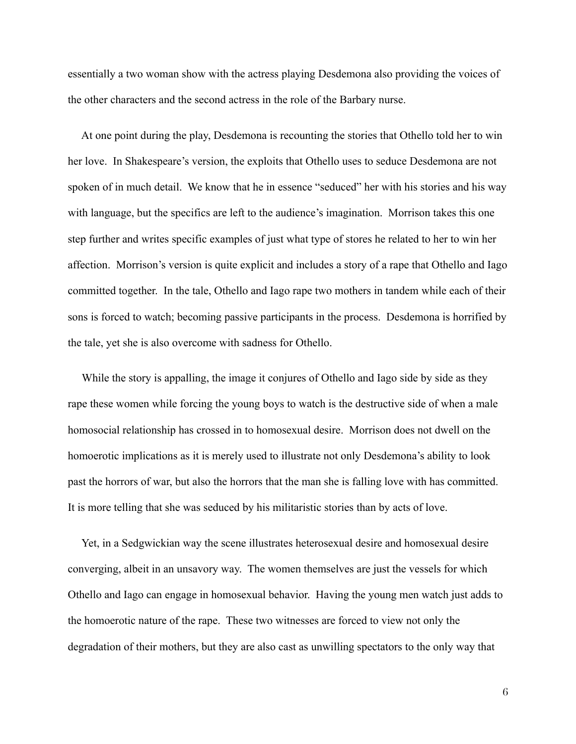essentially a two woman show with the actress playing Desdemona also providing the voices of the other characters and the second actress in the role of the Barbary nurse.

At one point during the play, Desdemona is recounting the stories that Othello told her to win her love. In Shakespeare's version, the exploits that Othello uses to seduce Desdemona are not spoken of in much detail. We know that he in essence "seduced" her with his stories and his way with language, but the specifics are left to the audience's imagination. Morrison takes this one step further and writes specific examples of just what type of stores he related to her to win her affection. Morrison's version is quite explicit and includes a story of a rape that Othello and Iago committed together. In the tale, Othello and Iago rape two mothers in tandem while each of their sons is forced to watch; becoming passive participants in the process. Desdemona is horrified by the tale, yet she is also overcome with sadness for Othello.

While the story is appalling, the image it conjures of Othello and Iago side by side as they rape these women while forcing the young boys to watch is the destructive side of when a male homosocial relationship has crossed in to homosexual desire. Morrison does not dwell on the homoerotic implications as it is merely used to illustrate not only Desdemona's ability to look past the horrors of war, but also the horrors that the man she is falling love with has committed. It is more telling that she was seduced by his militaristic stories than by acts of love.

Yet, in a Sedgwickian way the scene illustrates heterosexual desire and homosexual desire converging, albeit in an unsavory way. The women themselves are just the vessels for which Othello and Iago can engage in homosexual behavior. Having the young men watch just adds to the homoerotic nature of the rape. These two witnesses are forced to view not only the degradation of their mothers, but they are also cast as unwilling spectators to the only way that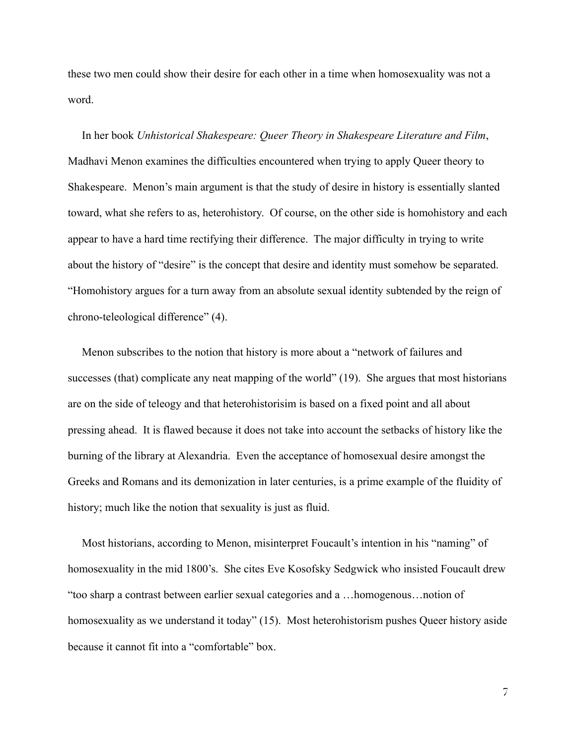these two men could show their desire for each other in a time when homosexuality was not a word

In her book Unhistorical Shakespeare: Queer Theory in Shakespeare Literature and Film, Madhavi Menon examines the difficulties encountered when trying to apply Queer theory to Shakespeare. Menon's main argument is that the study of desire in history is essentially slanted toward, what she refers to as, heterohistory. Of course, on the other side is homohistory and each appear to have a hard time rectifying their difference. The major difficulty in trying to write about the history of "desire" is the concept that desire and identity must somehow be separated. "Homohistory argues for a turn away from an absolute sexual identity subtended by the reign of chrono-teleological difference" (4).

Menon subscribes to the notion that history is more about a "network of failures and successes (that) complicate any neat mapping of the world" (19). She argues that most historians are on the side of teleogy and that heterohistorisim is based on a fixed point and all about pressing ahead. It is flawed because it does not take into account the setbacks of history like the burning of the library at Alexandria. Even the acceptance of homosexual desire amongst the Greeks and Romans and its demonization in later centuries, is a prime example of the fluidity of history; much like the notion that sexuality is just as fluid.

Most historians, according to Menon, misinterpret Foucault's intention in his "naming" of homosexuality in the mid 1800's. She cites Eve Kosofsky Sedgwick who insisted Foucault drew "too sharp a contrast between earlier sexual categories and a ...homogenous...notion of homosexuality as we understand it today" (15). Most heterohistorism pushes Queer history aside because it cannot fit into a "comfortable" box.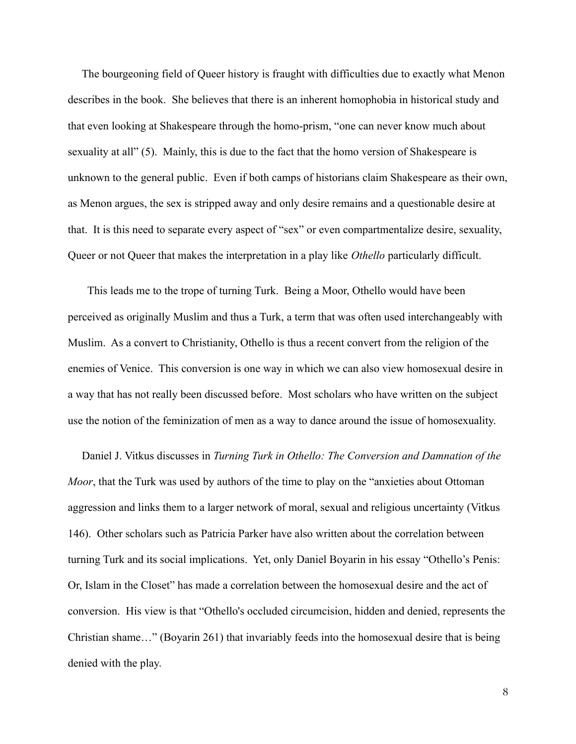The bourgeoning field of Queer history is fraught with difficulties due to exactly what Menon describes in the book. She believes that there is an inherent homophobia in historical study and that even looking at Shakespeare through the homo-prism, "one can never know much about sexuality at all" (5). Mainly, this is due to the fact that the homo version of Shakespeare is unknown to the general public. Even if both camps of historians claim Shakespeare as their own, as Menon argues, the sex is stripped away and only desire remains and a questionable desire at that. It is this need to separate every aspect of "sex" or even compartmentalize desire, sexuality, Queer or not Queer that makes the interpretation in a play like *Othello* particularly difficult.

This leads me to the trope of turning Turk. Being a Moor, Othello would have been perceived as originally Muslim and thus a Turk, a term that was often used interchangeably with Muslim. As a convert to Christianity, Othello is thus a recent convert from the religion of the enemies of Venice. This conversion is one way in which we can also view homosexual desire in a way that has not really been discussed before. Most scholars who have written on the subject use the notion of the feminization of men as a way to dance around the issue of homosexuality.

Daniel J. Vitkus discusses in Turning Turk in Othello: The Conversion and Damnation of the *Moor*, that the Turk was used by authors of the time to play on the "anxieties about Ottoman" aggression and links them to a larger network of moral, sexual and religious uncertainty (Vitkus 146). Other scholars such as Patricia Parker have also written about the correlation between turning Turk and its social implications. Yet, only Daniel Boyarin in his essay "Othello's Penis: Or, Islam in the Closet" has made a correlation between the homosexual desire and the act of conversion. His view is that "Othello's occluded circumcision, hidden and denied, represents the Christian shame..." (Boyarin 261) that invariably feeds into the homosexual desire that is being denied with the play.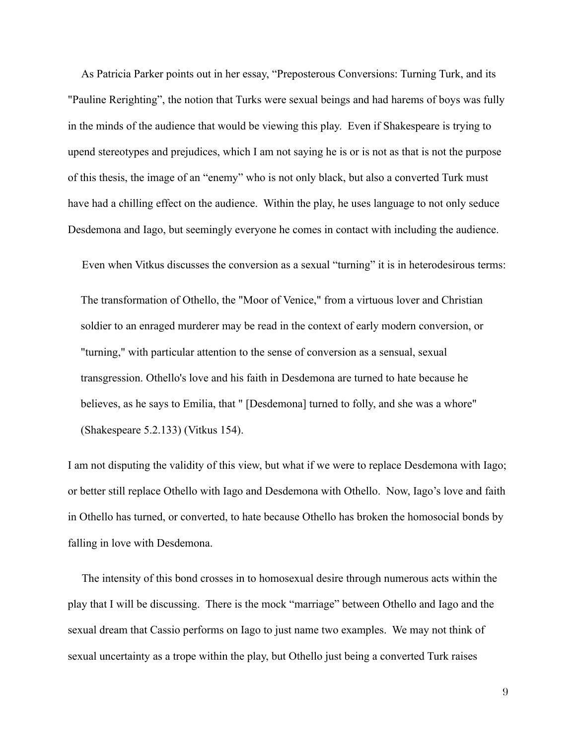As Patricia Parker points out in her essay, "Preposterous Conversions: Turning Turk, and its "Pauline Rerighting", the notion that Turks were sexual beings and had harems of boys was fully in the minds of the audience that would be viewing this play. Even if Shakespeare is trying to upend stereotypes and prejudices, which I am not saying he is or is not as that is not the purpose of this thesis, the image of an "enemy" who is not only black, but also a converted Turk must have had a chilling effect on the audience. Within the play, he uses language to not only seduce Desdemona and Iago, but seemingly everyone he comes in contact with including the audience.

Even when Vitkus discusses the conversion as a sexual "turning" it is in heterodesirous terms:

The transformation of Othello, the "Moor of Venice," from a virtuous lover and Christian soldier to an enraged murderer may be read in the context of early modern conversion, or "turning," with particular attention to the sense of conversion as a sensual, sexual transgression. Othello's love and his faith in Desdemona are turned to hate because he believes, as he says to Emilia, that " [Desdemona] turned to folly, and she was a whore" (Shakespeare 5.2.133) (Vitkus 154).

I am not disputing the validity of this view, but what if we were to replace Desdemona with Iago; or better still replace Othello with Iago and Desdemona with Othello. Now, Iago's love and faith in Othello has turned, or converted, to hate because Othello has broken the homosocial bonds by falling in love with Desdemona.

The intensity of this bond crosses in to homosexual desire through numerous acts within the play that I will be discussing. There is the mock "marriage" between Othello and Iago and the sexual dream that Cassio performs on Iago to just name two examples. We may not think of sexual uncertainty as a trope within the play, but Othello just being a converted Turk raises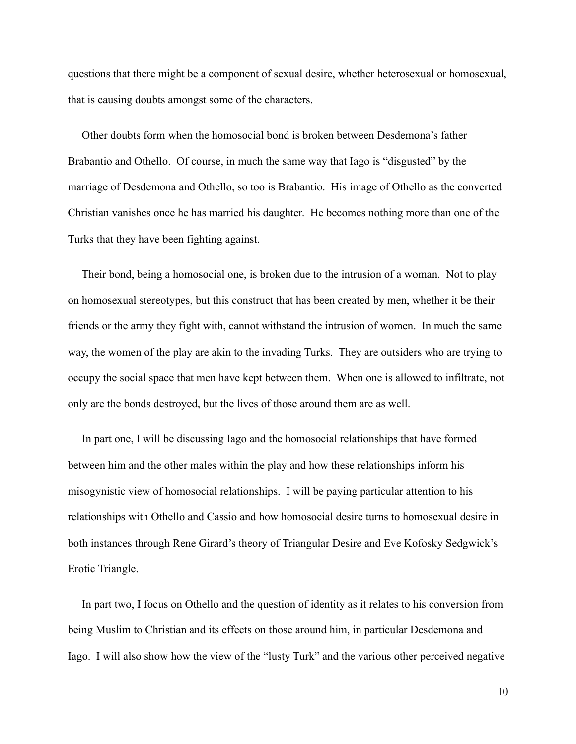questions that there might be a component of sexual desire, whether heterosexual or homosexual, that is causing doubts amongst some of the characters.

Other doubts form when the homosocial bond is broken between Desdemona's father Brabantio and Othello. Of course, in much the same way that Iago is "disgusted" by the marriage of Desdemona and Othello, so too is Brabantio. His image of Othello as the converted Christian vanishes once he has married his daughter. He becomes nothing more than one of the Turks that they have been fighting against.

Their bond, being a homosocial one, is broken due to the intrusion of a woman. Not to play on homosexual stereotypes, but this construct that has been created by men, whether it be their friends or the army they fight with, cannot withstand the intrusion of women. In much the same way, the women of the play are akin to the invading Turks. They are outsiders who are trying to occupy the social space that men have kept between them. When one is allowed to infiltrate, not only are the bonds destroyed, but the lives of those around them are as well.

In part one, I will be discussing Iago and the homosocial relationships that have formed between him and the other males within the play and how these relationships inform his misogynistic view of homosocial relationships. I will be paying particular attention to his relationships with Othello and Cassio and how homosocial desire turns to homosexual desire in both instances through Rene Girard's theory of Triangular Desire and Eve Kofosky Sedgwick's Erotic Triangle.

In part two, I focus on Othello and the question of identity as it relates to his conversion from being Muslim to Christian and its effects on those around him, in particular Desdemona and Iago. I will also show how the view of the "lusty Turk" and the various other perceived negative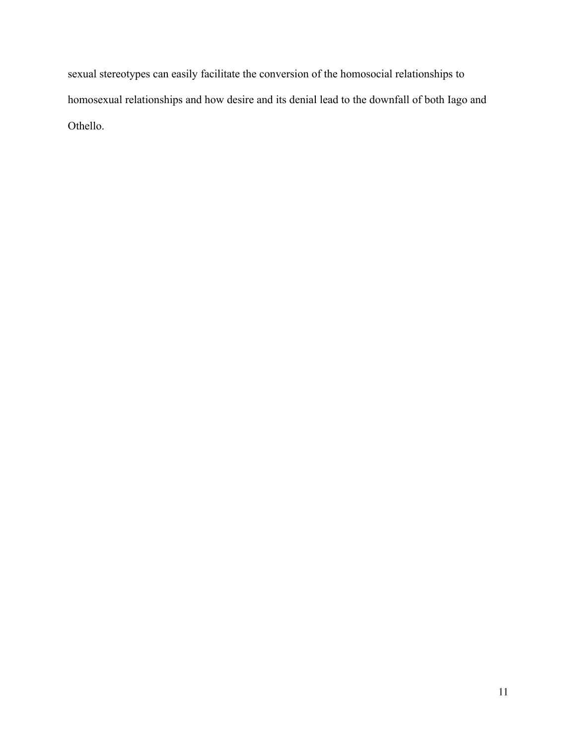sexual stereotypes can easily facilitate the conversion of the homosocial relationships to homosexual relationships and how desire and its denial lead to the downfall of both Iago and Othello.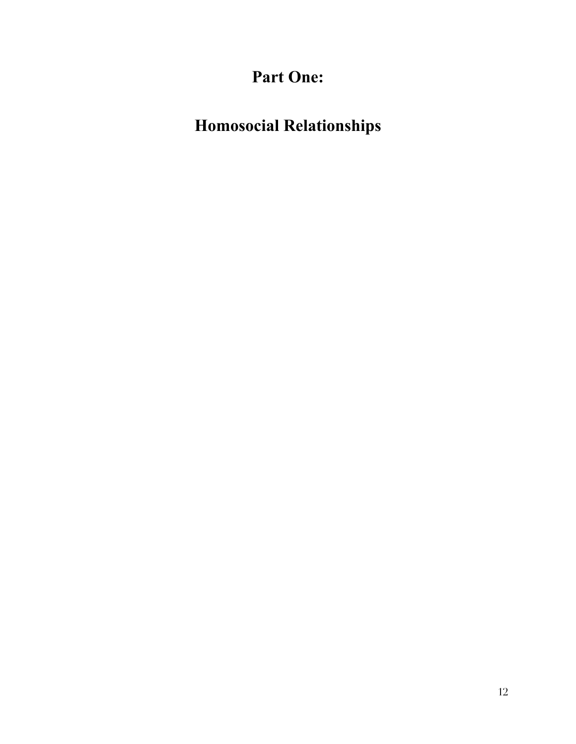# Part One:

# **Homosocial Relationships**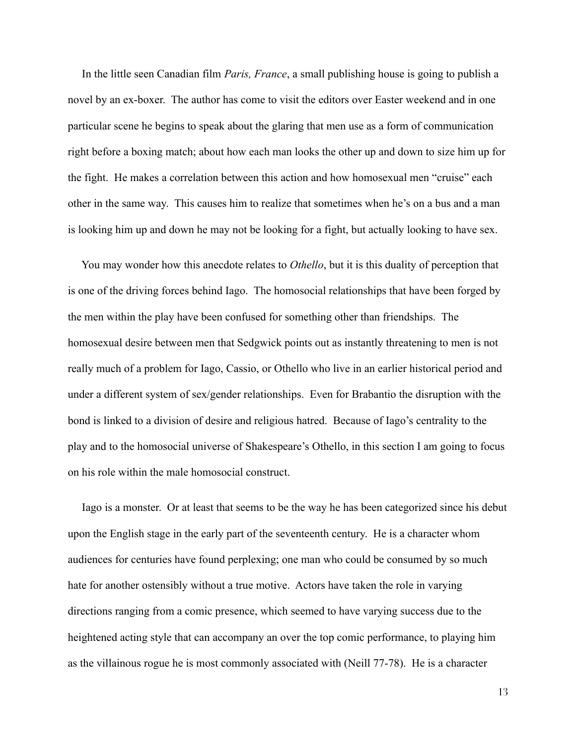In the little seen Canadian film Paris, France, a small publishing house is going to publish a novel by an ex-boxer. The author has come to visit the editors over Easter weekend and in one particular scene he begins to speak about the glaring that men use as a form of communication right before a boxing match; about how each man looks the other up and down to size him up for the fight. He makes a correlation between this action and how homosexual men "cruise" each other in the same way. This causes him to realize that sometimes when he's on a bus and a man is looking him up and down he may not be looking for a fight, but actually looking to have sex.

You may wonder how this anecdote relates to *Othello*, but it is this duality of perception that is one of the driving forces behind Iago. The homosocial relationships that have been forged by the men within the play have been confused for something other than friendships. The homosexual desire between men that Sedgwick points out as instantly threatening to men is not really much of a problem for Iago, Cassio, or Othello who live in an earlier historical period and under a different system of sex/gender relationships. Even for Brabantio the disruption with the bond is linked to a division of desire and religious hatred. Because of Iago's centrality to the play and to the homosocial universe of Shakespeare's Othello, in this section I am going to focus on his role within the male homosocial construct.

Lago is a monster. Or at least that seems to be the way he has been categorized since his debut upon the English stage in the early part of the seventeenth century. He is a character whom audiences for centuries have found perplexing; one man who could be consumed by so much hate for another ostensibly without a true motive. Actors have taken the role in varying directions ranging from a comic presence, which seemed to have varying success due to the heightened acting style that can accompany an over the top comic performance, to playing him as the villainous rogue he is most commonly associated with (Neill 77-78). He is a character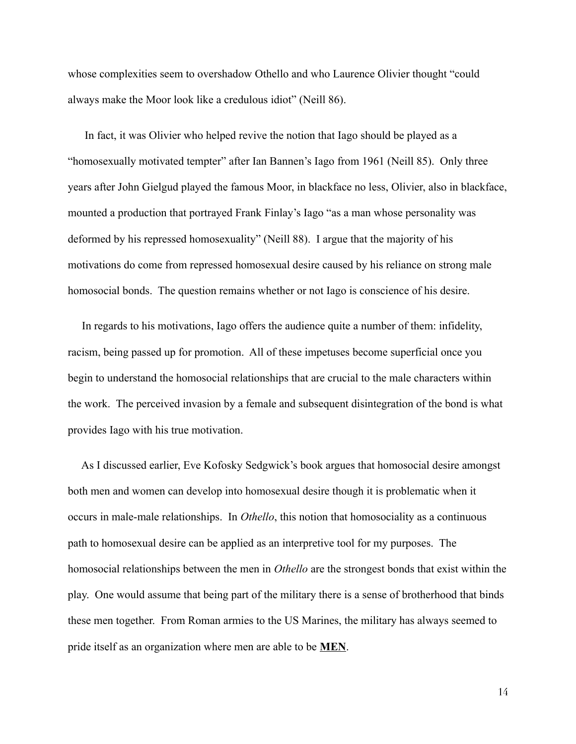whose complexities seem to overshadow Othello and who Laurence Olivier thought "could" always make the Moor look like a credulous idiot" (Neill 86).

In fact, it was Olivier who helped revive the notion that Iago should be played as a "homosexually motivated tempter" after Ian Bannen's Iago from 1961 (Neill 85). Only three years after John Gielgud played the famous Moor, in blackface no less, Olivier, also in blackface, mounted a production that portrayed Frank Finlay's Iago "as a man whose personality was deformed by his repressed homosexuality" (Neill 88). I argue that the majority of his motivations do come from repressed homosexual desire caused by his reliance on strong male homosocial bonds. The question remains whether or not lago is conscience of his desire.

In regards to his motivations, Iago offers the audience quite a number of them: infidelity, racism, being passed up for promotion. All of these impetuses become superficial once you begin to understand the homosocial relationships that are crucial to the male characters within the work. The perceived invasion by a female and subsequent disintegration of the bond is what provides Iago with his true motivation.

As I discussed earlier, Eve Kofosky Sedgwick's book argues that homosocial desire amongst both men and women can develop into homosexual desire though it is problematic when it occurs in male-male relationships. In *Othello*, this notion that homosociality as a continuous path to homosexual desire can be applied as an interpretive tool for my purposes. The homosocial relationships between the men in *Othello* are the strongest bonds that exist within the play. One would assume that being part of the military there is a sense of brotherhood that binds these men together. From Roman armies to the US Marines, the military has always seemed to pride itself as an organization where men are able to be **MEN**.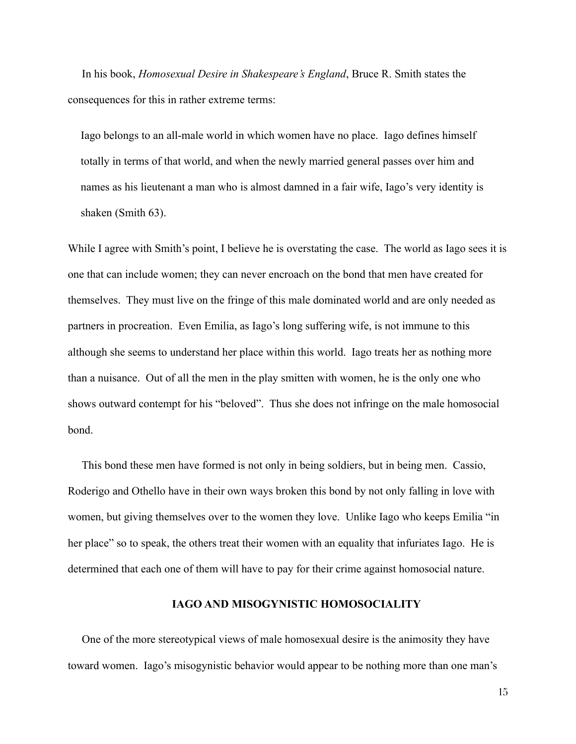In his book, *Homosexual Desire in Shakespeare's England*, Bruce R. Smith states the consequences for this in rather extreme terms:

Lago belongs to an all-male world in which women have no place. Iago defines himself totally in terms of that world, and when the newly married general passes over him and names as his lieutenant a man who is almost damned in a fair wife, Iago's very identity is shaken (Smith 63).

While I agree with Smith's point, I believe he is overstating the case. The world as Iago sees it is one that can include women; they can never encroach on the bond that men have created for themselves. They must live on the fringe of this male dominated world and are only needed as partners in procreation. Even Emilia, as Iago's long suffering wife, is not immune to this although she seems to understand her place within this world. Iago treats her as nothing more than a nuisance. Out of all the men in the play smitten with women, he is the only one who shows outward contempt for his "beloved". Thus she does not infringe on the male homosocial bond.

This bond these men have formed is not only in being soldiers, but in being men. Cassio, Roderigo and Othello have in their own ways broken this bond by not only falling in love with women, but giving themselves over to the women they love. Unlike Iago who keeps Emilia "in" her place" so to speak, the others treat their women with an equality that infuriates Iago. He is determined that each one of them will have to pay for their crime against homosocial nature.

## **IAGO AND MISOGYNISTIC HOMOSOCIALITY**

One of the more stereotypical views of male homosexual desire is the animosity they have toward women. Iago's misogynistic behavior would appear to be nothing more than one man's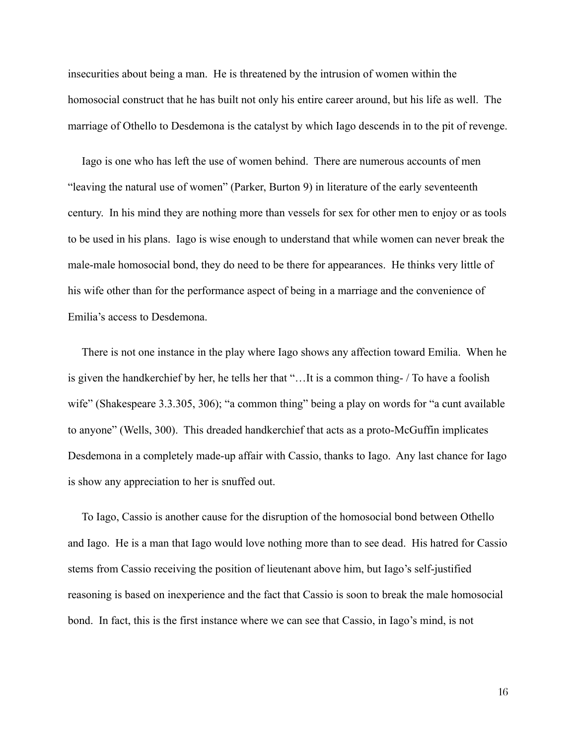insecurities about being a man. He is threatened by the intrusion of women within the homosocial construct that he has built not only his entire career around, but his life as well. The marriage of Othello to Desdemona is the catalyst by which Iago descends in to the pit of revenge.

Iago is one who has left the use of women behind. There are numerous accounts of men "leaving the natural use of women" (Parker, Burton 9) in literature of the early seventeenth century. In his mind they are nothing more than vessels for sex for other men to enjoy or as tools to be used in his plans. Iago is wise enough to understand that while women can never break the male-male homosocial bond, they do need to be there for appearances. He thinks very little of his wife other than for the performance aspect of being in a marriage and the convenience of Emilia's access to Desdemona

There is not one instance in the play where Iago shows any affection toward Emilia. When he is given the handkerchief by her, he tells her that "... It is a common thing- / To have a foolish wife" (Shakespeare 3.3.305, 306); "a common thing" being a play on words for "a cunt available to anyone" (Wells, 300). This dreaded handkerchief that acts as a proto-McGuffin implicates Desdemona in a completely made-up affair with Cassio, thanks to Iago. Any last chance for Iago is show any appreciation to her is snuffed out.

To Iago, Cassio is another cause for the disruption of the homosocial bond between Othello and Iago. He is a man that Iago would love nothing more than to see dead. His hatred for Cassio stems from Cassio receiving the position of lieutenant above him, but Iago's self-justified reasoning is based on inexperience and the fact that Cassio is soon to break the male homosocial bond. In fact, this is the first instance where we can see that Cassio, in Iago's mind, is not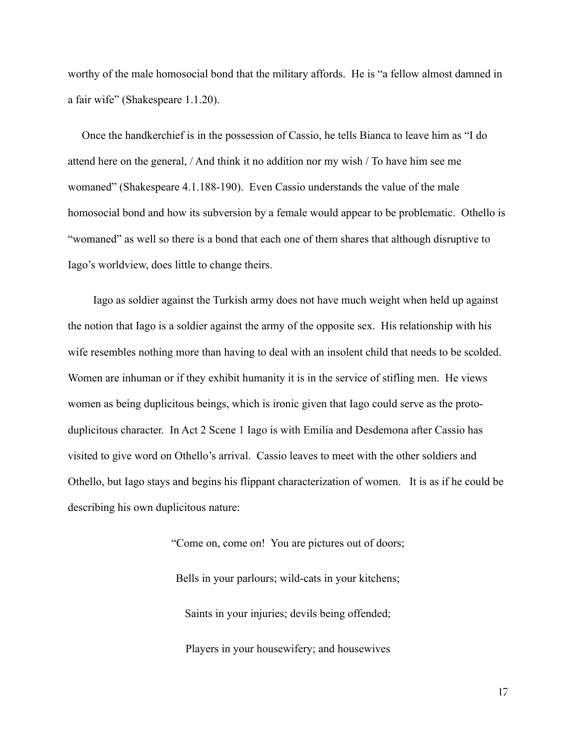worthy of the male homosocial bond that the military affords. He is "a fellow almost damned in a fair wife" (Shakespeare 1.1.20).

Once the handkerchief is in the possession of Cassio, he tells Bianca to leave him as "I do attend here on the general, / And think it no addition nor my wish / To have him see me womaned" (Shakespeare 4.1.188-190). Even Cassio understands the value of the male homosocial bond and how its subversion by a female would appear to be problematic. Othello is "womaned" as well so there is a bond that each one of them shares that although disruptive to Iago's worldview, does little to change theirs.

Iago as soldier against the Turkish army does not have much weight when held up against the notion that Iago is a soldier against the army of the opposite sex. His relationship with his wife resembles nothing more than having to deal with an insolent child that needs to be scolded. Women are inhuman or if they exhibit humanity it is in the service of stifling men. He views women as being duplicitous beings, which is ironic given that Iago could serve as the protoduplicitous character. In Act 2 Scene 1 Iago is with Emilia and Desdemona after Cassio has visited to give word on Othello's arrival. Cassio leaves to meet with the other soldiers and Othello, but Iago stays and begins his flippant characterization of women. It is as if he could be describing his own duplicitous nature:

> "Come on, come on! You are pictures out of doors; Bells in your parlours; wild-cats in your kitchens; Saints in your injuries; devils being offended;

Players in your housewifery; and housewives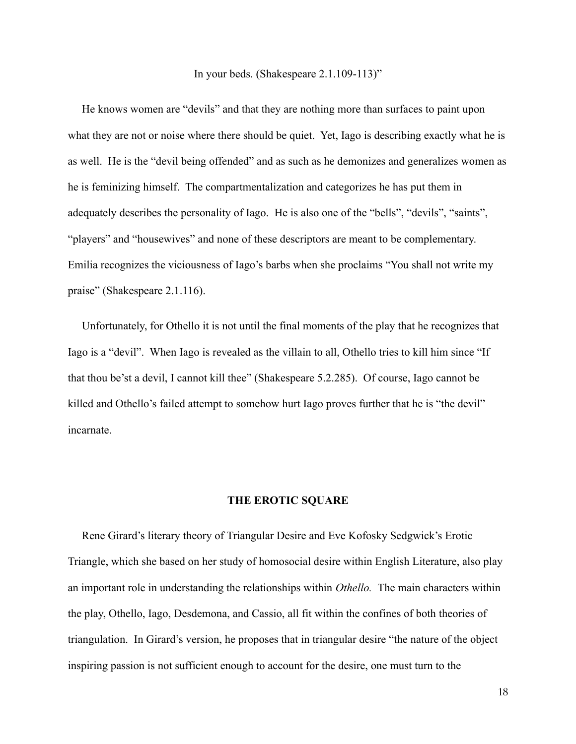#### In your beds. (Shakespeare  $2.1.109 - 113$ )"

He knows women are "devils" and that they are nothing more than surfaces to paint upon what they are not or noise where there should be quiet. Yet, Iago is describing exactly what he is as well. He is the "devil being offended" and as such as he demonizes and generalizes women as he is feminizing himself. The compartmentalization and categorizes he has put them in adequately describes the personality of Iago. He is also one of the "bells", "devils", "saints", "players" and "housewives" and none of these descriptors are meant to be complementary. Emilia recognizes the viciousness of Iago's barbs when she proclaims "You shall not write my praise" (Shakespeare 2.1.116).

Unfortunately, for Othello it is not until the final moments of the play that he recognizes that Iago is a "devil". When Iago is revealed as the villain to all, Othello tries to kill him since "If that thou be'st a devil, I cannot kill thee" (Shakespeare 5.2.285). Of course, Iago cannot be killed and Othello's failed attempt to somehow hurt Iago proves further that he is "the devil" incarnate.

### THE EROTIC SQUARE

Rene Girard's literary theory of Triangular Desire and Eve Kofosky Sedgwick's Erotic Triangle, which she based on her study of homosocial desire within English Literature, also play an important role in understanding the relationships within *Othello*. The main characters within the play, Othello, Iago, Desdemona, and Cassio, all fit within the confines of both theories of triangulation. In Girard's version, he proposes that in triangular desire "the nature of the object inspiring passion is not sufficient enough to account for the desire, one must turn to the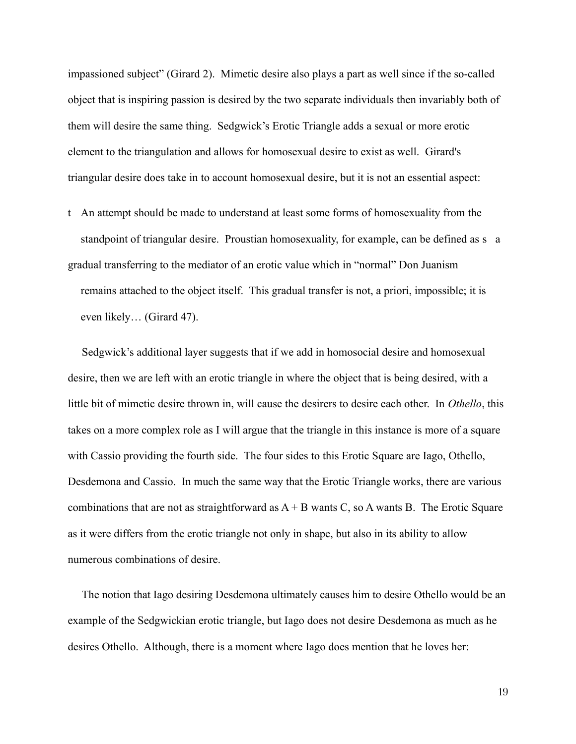impassioned subject" (Girard 2). Mimetic desire also plays a part as well since if the so-called object that is inspiring passion is desired by the two separate individuals then invariably both of them will desire the same thing. Sedgwick's Erotic Triangle adds a sexual or more erotic element to the triangulation and allows for homosexual desire to exist as well. Girard's triangular desire does take in to account homosexual desire, but it is not an essential aspect:

t An attempt should be made to understand at least some forms of homosexuality from the standpoint of triangular desire. Proustian homosexuality, for example, can be defined as s a gradual transferring to the mediator of an erotic value which in "normal" Don Juanism remains attached to the object itself. This gradual transfer is not, a priori, impossible; it is even likely... (Girard 47).

Sedgwick's additional layer suggests that if we add in homosocial desire and homosexual desire, then we are left with an erotic triangle in where the object that is being desired, with a little bit of mimetic desire thrown in, will cause the desirers to desire each other. In *Othello*, this takes on a more complex role as I will argue that the triangle in this instance is more of a square with Cassio providing the fourth side. The four sides to this Erotic Square are Iago, Othello, Desdemona and Cassio. In much the same way that the Erotic Triangle works, there are various combinations that are not as straightforward as  $A + B$  wants C, so A wants B. The Erotic Square as it were differs from the erotic triangle not only in shape, but also in its ability to allow numerous combinations of desire.

The notion that Iago desiring Desdemona ultimately causes him to desire Othello would be an example of the Sedgwickian erotic triangle, but Iago does not desire Desdemona as much as he desires Othello. Although, there is a moment where Iago does mention that he loves her: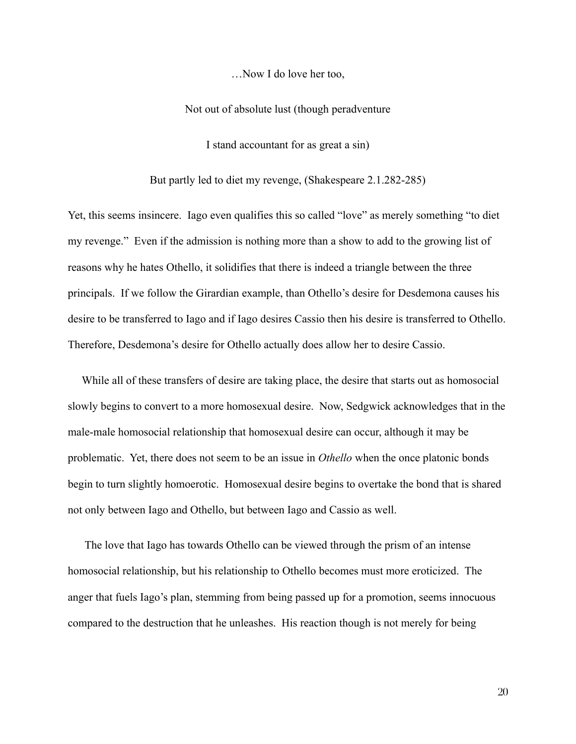...Now I do love her too.

Not out of absolute lust (though peradventure

I stand accountant for as great a sin)

But partly led to diet my revenge, (Shakespeare 2.1.282-285)

Yet, this seems insincere. Iago even qualifies this so called "love" as merely something "to diet my revenge." Even if the admission is nothing more than a show to add to the growing list of reasons why he hates Othello, it solidifies that there is indeed a triangle between the three principals. If we follow the Girardian example, than Othello's desire for Desdemona causes his desire to be transferred to Iago and if Iago desires Cassio then his desire is transferred to Othello. Therefore, Desdemona's desire for Othello actually does allow her to desire Cassio.

While all of these transfers of desire are taking place, the desire that starts out as homosocial slowly begins to convert to a more homosexual desire. Now, Sedgwick acknowledges that in the male-male homosocial relationship that homosexual desire can occur, although it may be problematic. Yet, there does not seem to be an issue in *Othello* when the once platonic bonds begin to turn slightly homoerotic. Homosexual desire begins to overtake the bond that is shared not only between Iago and Othello, but between Iago and Cassio as well.

The love that Iago has towards Othello can be viewed through the prism of an intense homosocial relationship, but his relationship to Othello becomes must more eroticized. The anger that fuels Iago's plan, stemming from being passed up for a promotion, seems innocuous compared to the destruction that he unleashes. His reaction though is not merely for being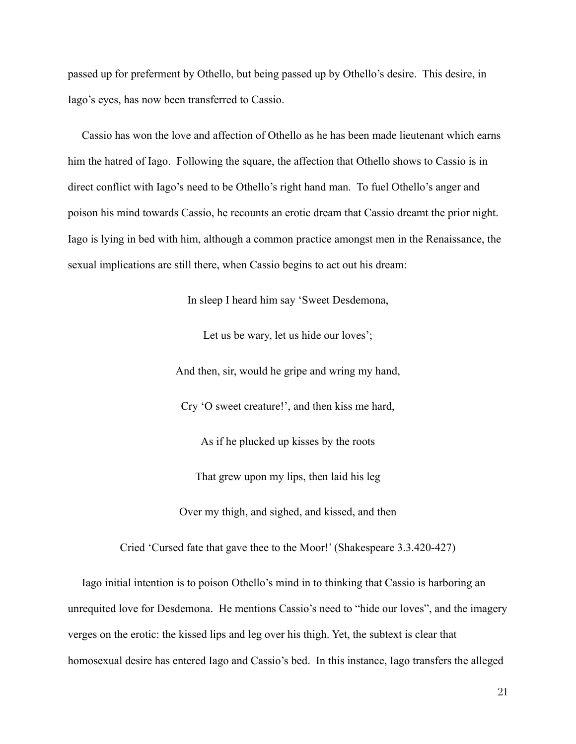passed up for preferment by Othello, but being passed up by Othello's desire. This desire, in Iago's eyes, has now been transferred to Cassio.

Cassio has won the love and affection of Othello as he has been made lieutenant which earns him the hatred of Iago. Following the square, the affection that Othello shows to Cassio is in direct conflict with Iago's need to be Othello's right hand man. To fuel Othello's anger and poison his mind towards Cassio, he recounts an erotic dream that Cassio dreamt the prior night. Iago is lying in bed with him, although a common practice amongst men in the Renaissance, the sexual implications are still there, when Cassio begins to act out his dream:

In sleep I heard him say 'Sweet Desdemona,

Let us be wary, let us hide our loves';

And then, sir, would he gripe and wring my hand,

Cry 'O sweet creature!', and then kiss me hard,

As if he plucked up kisses by the roots

That grew upon my lips, then laid his leg

Over my thigh, and sighed, and kissed, and then

Cried 'Cursed fate that gave thee to the Moor!' (Shakespeare 3.3.420-427)

Iago initial intention is to poison Othello's mind in to thinking that Cassio is harboring an unrequited love for Desdemona. He mentions Cassio's need to "hide our loves", and the imagery verges on the erotic: the kissed lips and leg over his thigh. Yet, the subtext is clear that homosexual desire has entered Iago and Cassio's bed. In this instance, Iago transfers the alleged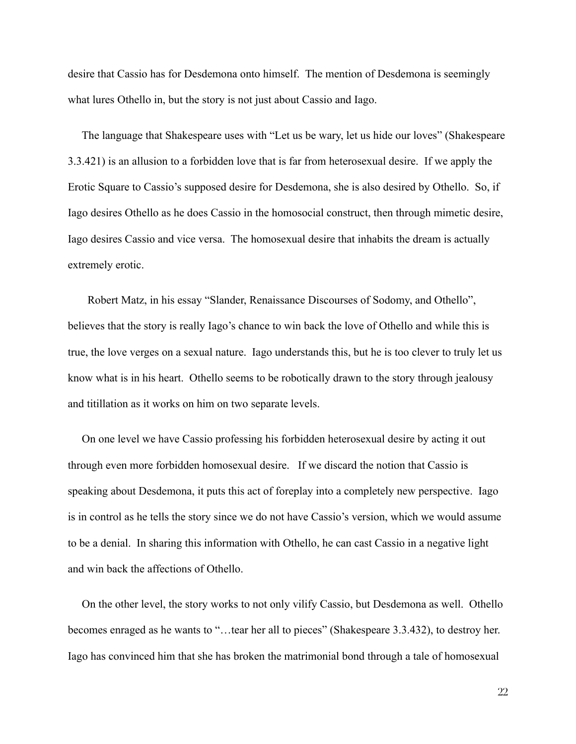desire that Cassio has for Desdemona onto himself. The mention of Desdemona is seemingly what lures Othello in, but the story is not just about Cassio and Iago.

The language that Shakespeare uses with "Let us be wary, let us hide our loves" (Shakespeare 3.3.421) is an allusion to a forbidden love that is far from heterosexual desire. If we apply the Erotic Square to Cassio's supposed desire for Desdemona, she is also desired by Othello. So, if Iago desires Othello as he does Cassio in the homosocial construct, then through mimetic desire, Iago desires Cassio and vice versa. The homosexual desire that inhabits the dream is actually extremely erotic.

Robert Matz, in his essay "Slander, Renaissance Discourses of Sodomy, and Othello", believes that the story is really Iago's chance to win back the love of Othello and while this is true, the love verges on a sexual nature. Iago understands this, but he is too clever to truly let us know what is in his heart. Othello seems to be robotically drawn to the story through jealousy and titillation as it works on him on two separate levels.

On one level we have Cassio professing his forbidden heterosexual desire by acting it out through even more forbidden homosexual desire. If we discard the notion that Cassio is speaking about Desdemona, it puts this act of foreplay into a completely new perspective. Iago is in control as he tells the story since we do not have Cassio's version, which we would assume to be a denial. In sharing this information with Othello, he can cast Cassio in a negative light and win back the affections of Othello.

On the other level, the story works to not only vilify Cassio, but Desdemona as well. Othello becomes enraged as he wants to "...tear her all to pieces" (Shakespeare 3.3.432), to destroy her. Iago has convinced him that she has broken the matrimonial bond through a tale of homosexual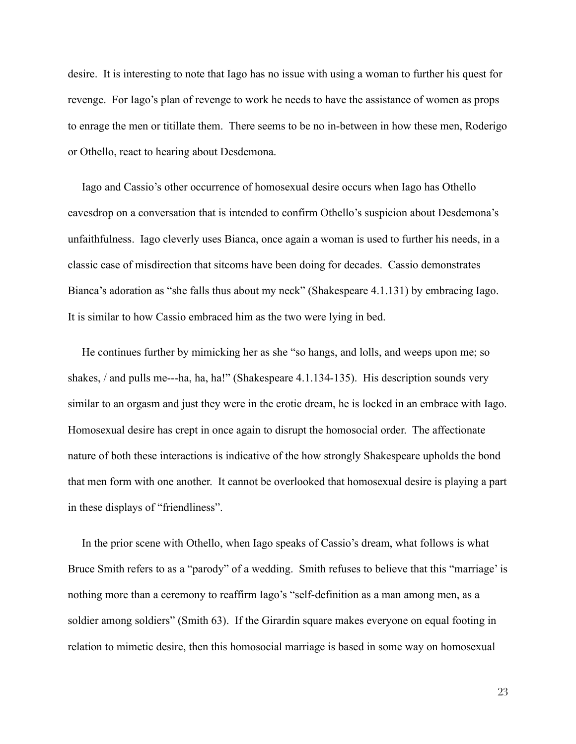desire. It is interesting to note that Iago has no issue with using a woman to further his quest for revenge. For Iago's plan of revenge to work he needs to have the assistance of women as props to enrage the men or titillate them. There seems to be no in-between in how these men, Roderigo or Othello, react to hearing about Desdemona.

Iago and Cassio's other occurrence of homosexual desire occurs when Iago has Othello eavesdrop on a conversation that is intended to confirm Othello's suspicion about Desdemona's unfaithfulness. Iago cleverly uses Bianca, once again a woman is used to further his needs, in a classic case of misdirection that sitcoms have been doing for decades. Cassio demonstrates Bianca's adoration as "she falls thus about my neck" (Shakespeare 4.1.131) by embracing Iago. It is similar to how Cassio embraced him as the two were lying in bed.

He continues further by mimicking her as she "so hangs, and lolls, and weeps upon me; so shakes, / and pulls me---ha, ha, ha!" (Shakespeare 4.1.134-135). His description sounds very similar to an orgasm and just they were in the erotic dream, he is locked in an embrace with Iago. Homosexual desire has crept in once again to disrupt the homosocial order. The affectionate nature of both these interactions is indicative of the how strongly Shakespeare upholds the bond that men form with one another. It cannot be overlooked that homosexual desire is playing a part in these displays of "friendliness".

In the prior scene with Othello, when Iago speaks of Cassio's dream, what follows is what Bruce Smith refers to as a "parody" of a wedding. Smith refuses to believe that this "marriage" is nothing more than a ceremony to reaffirm Iago's "self-definition as a man among men, as a soldier among soldiers" (Smith 63). If the Girardin square makes everyone on equal footing in relation to mimetic desire, then this homosocial marriage is based in some way on homosexual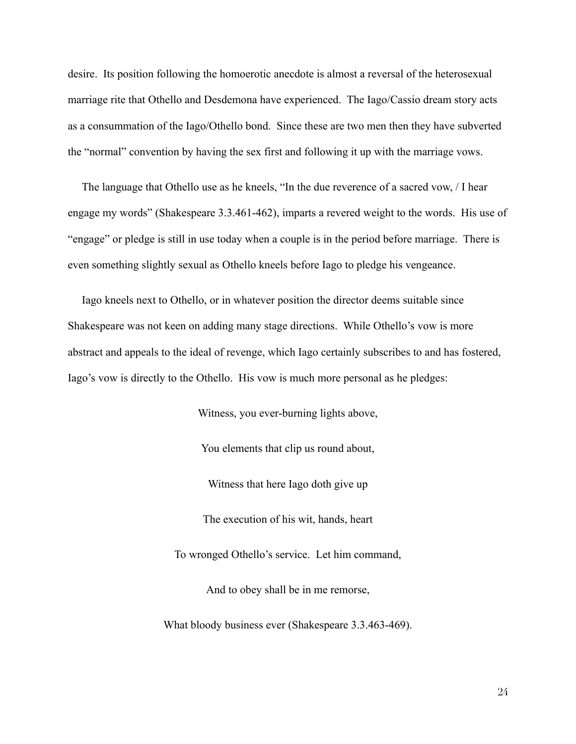desire. Its position following the homoerotic anecdote is almost a reversal of the heterosexual marriage rite that Othello and Desdemona have experienced. The Iago/Cassio dream story acts as a consummation of the Iago/Othello bond. Since these are two men then they have subverted the "normal" convention by having the sex first and following it up with the marriage vows.

The language that Othello use as he kneels, "In the due reverence of a sacred yow, / I hear engage my words" (Shakespeare 3.3.461-462), imparts a revered weight to the words. His use of "engage" or pledge is still in use today when a couple is in the period before marriage. There is even something slightly sexual as Othello kneels before Iago to pledge his vengeance.

Iago kneels next to Othello, or in whatever position the director deems suitable since Shakespeare was not keen on adding many stage directions. While Othello's yow is more abstract and appeals to the ideal of revenge, which Iago certainly subscribes to and has fostered, Iago's vow is directly to the Othello. His vow is much more personal as he pledges:

> Witness, you ever-burning lights above, You elements that clip us round about, Witness that here Iago doth give up The execution of his wit, hands, heart To wronged Othello's service. Let him command, And to obey shall be in me remorse,

What bloody business ever (Shakespeare 3.3.463-469).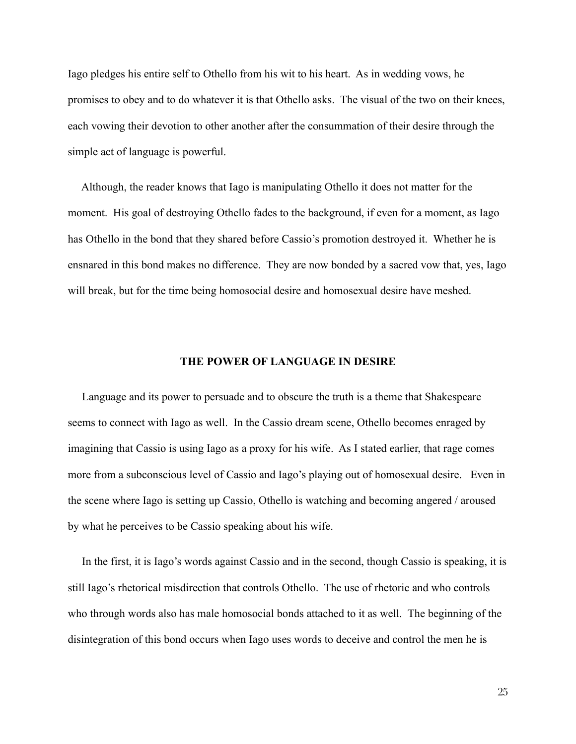Iago pledges his entire self to Othello from his wit to his heart. As in wedding yows, he promises to obey and to do whatever it is that Othello asks. The visual of the two on their knees, each vowing their devotion to other another after the consummation of their desire through the simple act of language is powerful.

Although, the reader knows that Iago is manipulating Othello it does not matter for the moment. His goal of destroying Othello fades to the background, if even for a moment, as Iago has Othello in the bond that they shared before Cassio's promotion destroyed it. Whether he is ensuared in this bond makes no difference. They are now bonded by a sacred yow that, yes, Iago will break, but for the time being homosocial desire and homosexual desire have meshed.

## THE POWER OF LANGUAGE IN DESIRE

Language and its power to persuade and to obscure the truth is a theme that Shakespeare seems to connect with Iago as well. In the Cassio dream scene, Othello becomes enraged by imagining that Cassio is using Iago as a proxy for his wife. As I stated earlier, that rage comes more from a subconscious level of Cassio and Iago's playing out of homosexual desire. Even in the scene where Iago is setting up Cassio, Othello is watching and becoming angered / aroused by what he perceives to be Cassio speaking about his wife.

In the first, it is Iago's words against Cassio and in the second, though Cassio is speaking, it is still Iago's rhetorical misdirection that controls Othello. The use of rhetoric and who controls who through words also has male homosocial bonds attached to it as well. The beginning of the disintegration of this bond occurs when Iago uses words to deceive and control the men he is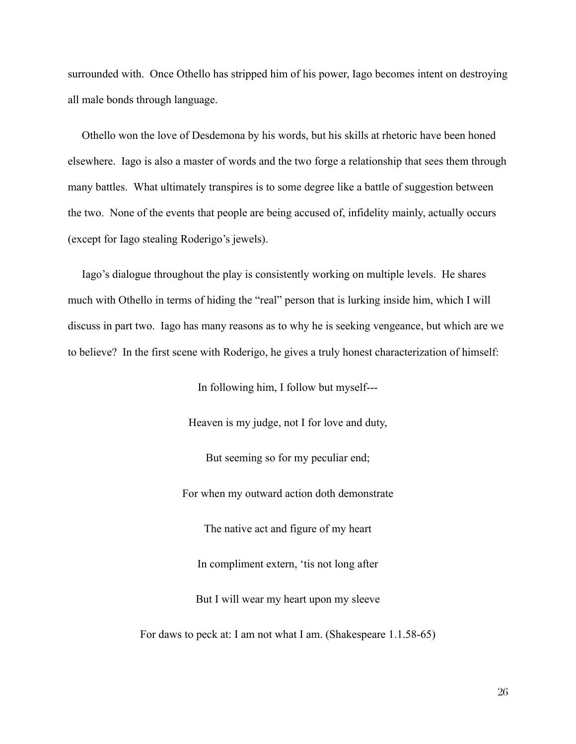surrounded with. Once Othello has stripped him of his power, Iago becomes intent on destroying all male bonds through language.

Othello won the love of Desdemona by his words, but his skills at rhetoric have been honed elsewhere. Iago is also a master of words and the two forge a relationship that sees them through many battles. What ultimately transpires is to some degree like a battle of suggestion between the two. None of the events that people are being accused of, infidelity mainly, actually occurs (except for Iago stealing Roderigo's jewels).

Iago's dialogue throughout the play is consistently working on multiple levels. He shares much with Othello in terms of hiding the "real" person that is lurking inside him, which I will discuss in part two. Iago has many reasons as to why he is seeking vengeance, but which are we to believe? In the first scene with Roderigo, he gives a truly honest characterization of himself:

In following him, I follow but myself---

Heaven is my judge, not I for love and duty,

But seeming so for my peculiar end;

For when my outward action doth demonstrate

The native act and figure of my heart

In compliment extern, 'tis not long after

But I will wear my heart upon my sleeve

For daws to peck at: I am not what I am. (Shakespeare 1.1.58-65)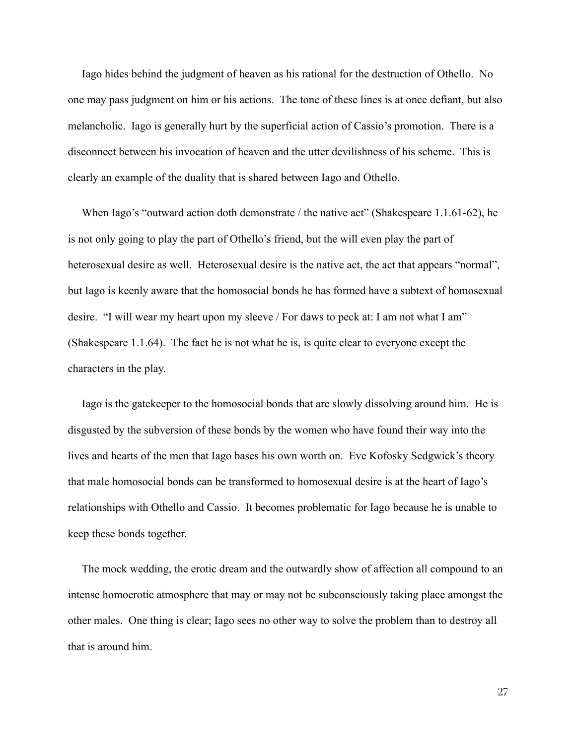Iago hides behind the judgment of heaven as his rational for the destruction of Othello. No one may pass judgment on him or his actions. The tone of these lines is at once defiant, but also melancholic. Iago is generally hurt by the superficial action of Cassio's promotion. There is a disconnect between his invocation of heaven and the utter devilishness of his scheme. This is clearly an example of the duality that is shared between Iago and Othello.

When Iago's "outward action doth demonstrate / the native act" (Shakespeare 1.1.61-62), he is not only going to play the part of Othello's friend, but the will even play the part of heterosexual desire as well. Heterosexual desire is the native act, the act that appears "normal", but Iago is keenly aware that the homosocial bonds he has formed have a subtext of homosexual desire. "I will wear my heart upon my sleeve / For daws to peck at: I am not what I am" (Shakespeare 1.1.64). The fact he is not what he is, is quite clear to everyone except the characters in the play.

Iago is the gate keeper to the homosocial bonds that are slowly dissolving around him. He is disgusted by the subversion of these bonds by the women who have found their way into the lives and hearts of the men that Iago bases his own worth on. Eve Kofosky Sedgwick's theory that male homosocial bonds can be transformed to homosexual desire is at the heart of Iago's relationships with Othello and Cassio. It becomes problematic for Iago because he is unable to keep these bonds together.

The mock wedding, the erotic dream and the outwardly show of affection all compound to an intense homoerotic atmosphere that may or may not be subconsciously taking place amongst the other males. One thing is clear; Iago sees no other way to solve the problem than to destroy all that is around him.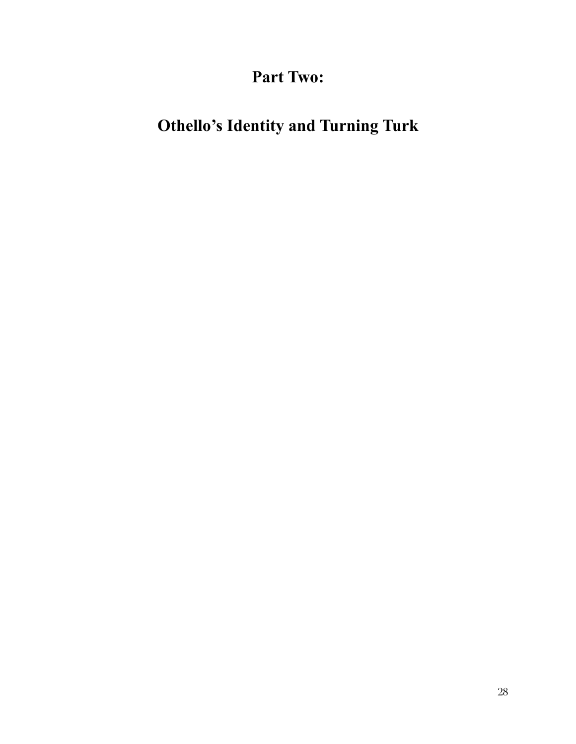**Part Two:** 

# **Othello's Identity and Turning Turk**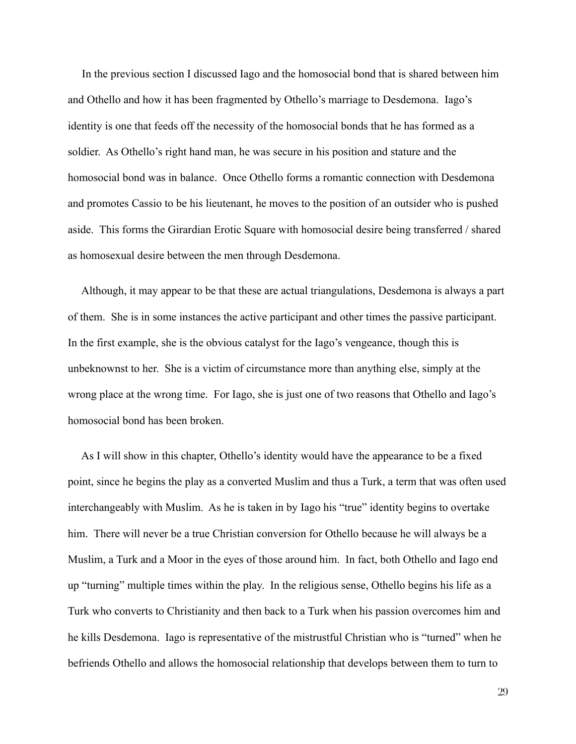In the previous section I discussed Iago and the homosocial bond that is shared between him and Othello and how it has been fragmented by Othello's marriage to Desdemona. Iago's identity is one that feeds off the necessity of the homosocial bonds that he has formed as a soldier. As Othello's right hand man, he was secure in his position and stature and the homosocial bond was in balance. Once Othello forms a romantic connection with Desdemona and promotes Cassio to be his lieutenant, he moves to the position of an outsider who is pushed aside. This forms the Girardian Erotic Square with homosocial desire being transferred / shared as homosexual desire between the men through Desdemona.

Although, it may appear to be that these are actual triangulations, Desdemona is always a part of them. She is in some instances the active participant and other times the passive participant. In the first example, she is the obvious catalyst for the Iago's vengeance, though this is unbeknownst to her. She is a victim of circumstance more than anything else, simply at the wrong place at the wrong time. For Iago, she is just one of two reasons that Othello and Iago's homosocial bond has been broken.

As I will show in this chapter, Othello's identity would have the appearance to be a fixed point, since he begins the play as a converted Muslim and thus a Turk, a term that was often used interchangeably with Muslim. As he is taken in by Iago his "true" identity begins to overtake him. There will never be a true Christian conversion for Othello because he will always be a Muslim, a Turk and a Moor in the eyes of those around him. In fact, both Othello and Iago end up "turning" multiple times within the play. In the religious sense, Othello begins his life as a Turk who converts to Christianity and then back to a Turk when his passion overcomes him and he kills Desdemona. Iago is representative of the mistrustful Christian who is "turned" when he befriends Othello and allows the homosocial relationship that develops between them to turn to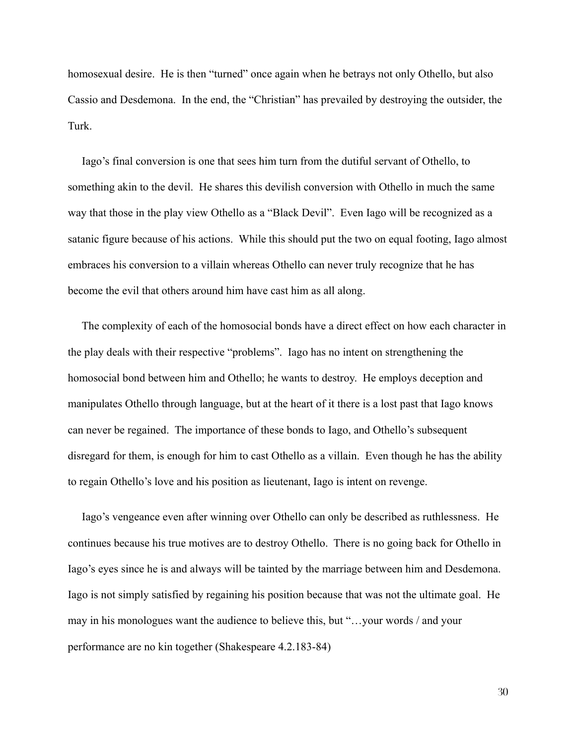homosexual desire. He is then "turned" once again when he betrays not only Othello, but also Cassio and Desdemona. In the end, the "Christian" has prevailed by destroying the outsider, the Turk

Iago's final conversion is one that sees him turn from the dutiful servant of Othello, to something akin to the devil. He shares this devilish conversion with Othello in much the same way that those in the play view Othello as a "Black Devil". Even Iago will be recognized as a satanic figure because of his actions. While this should put the two on equal footing, Iago almost embraces his conversion to a villain whereas Othello can never truly recognize that he has become the evil that others around him have cast him as all along.

The complexity of each of the homosocial bonds have a direct effect on how each character in the play deals with their respective "problems". Iago has no intent on strengthening the homosocial bond between him and Othello; he wants to destroy. He employs deception and manipulates Othello through language, but at the heart of it there is a lost past that Iago knows can never be regained. The importance of these bonds to Iago, and Othello's subsequent disregard for them, is enough for him to cast Othello as a villain. Even though he has the ability to regain Othello's love and his position as lieutenant, Iago is intent on revenge.

Iago's vengeance even after winning over Othello can only be described as ruthlessness. He continues because his true motives are to destroy Othello. There is no going back for Othello in Iago's eyes since he is and always will be tainted by the marriage between him and Desdemona. Iago is not simply satisfied by regaining his position because that was not the ultimate goal. He may in his monologues want the audience to believe this, but "...your words / and your performance are no kin together (Shakespeare 4.2.183-84)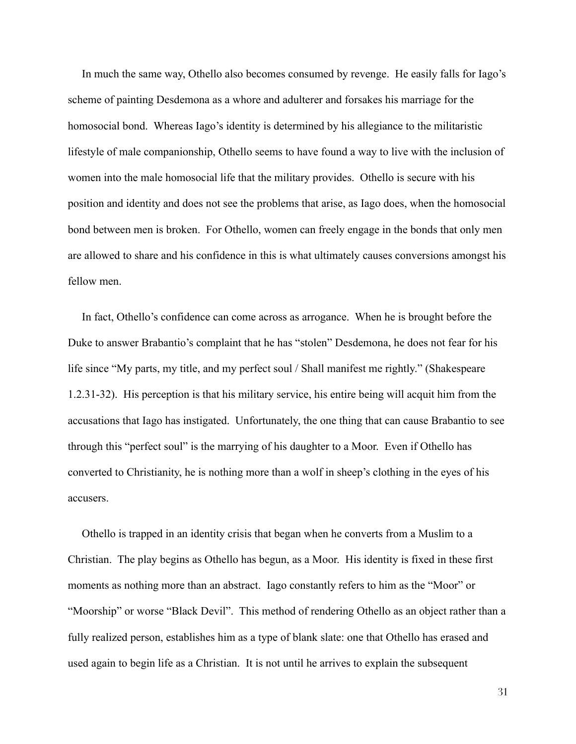In much the same way, Othello also becomes consumed by revenge. He easily falls for Iago's scheme of painting Desdemona as a whore and adulterer and forsakes his marriage for the homosocial bond. Whereas Iago's identity is determined by his allegiance to the militaristic lifestyle of male companionship, Othello seems to have found a way to live with the inclusion of women into the male homosocial life that the military provides. Othello is secure with his position and identity and does not see the problems that arise, as Iago does, when the homosocial bond between men is broken. For Othello, women can freely engage in the bonds that only men are allowed to share and his confidence in this is what ultimately causes conversions amongst his fellow men.

In fact, Othello's confidence can come across as arrogance. When he is brought before the Duke to answer Brabantio's complaint that he has "stolen" Desdemona, he does not fear for his life since "My parts, my title, and my perfect soul / Shall manifest me rightly." (Shakespeare 1.2.31-32). His perception is that his military service, his entire being will acquit him from the accusations that Iago has instigated. Unfortunately, the one thing that can cause Brabantio to see through this "perfect soul" is the marrying of his daughter to a Moor. Even if Othello has converted to Christianity, he is nothing more than a wolf in sheep's clothing in the eyes of his accusers.

Othello is trapped in an identity crisis that began when he converts from a Muslim to a Christian. The play begins as Othello has begun, as a Moor. His identity is fixed in these first moments as nothing more than an abstract. Iago constantly refers to him as the "Moor" or "Moorship" or worse "Black Devil". This method of rendering Othello as an object rather than a fully realized person, establishes him as a type of blank slate: one that Othello has erased and used again to begin life as a Christian. It is not until he arrives to explain the subsequent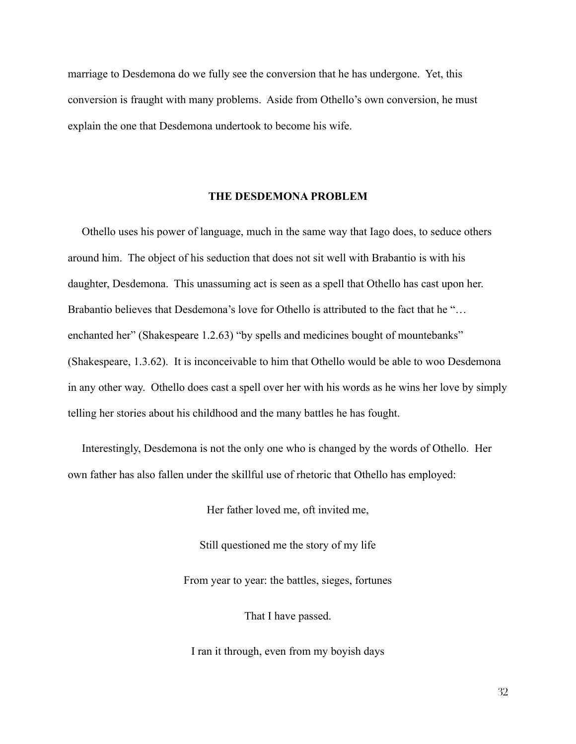marriage to Desdemona do we fully see the conversion that he has undergone. Yet, this conversion is fraught with many problems. Aside from Othello's own conversion, he must explain the one that Desdemona undertook to become his wife.

#### THE DESDEMONA PROBLEM

Othello uses his power of language, much in the same way that Iago does, to seduce others around him. The object of his seduction that does not sit well with Brabantio is with his daughter, Desdemona. This unassuming act is seen as a spell that Othello has cast upon her. Brabantio believes that Desdemona's love for Othello is attributed to the fact that he "... enchanted her" (Shakespeare 1.2.63) "by spells and medicines bought of mountebanks" (Shakespeare, 1.3.62). It is inconceivable to him that Othello would be able to woo Desdemona in any other way. Othello does cast a spell over her with his words as he wins her love by simply telling her stories about his childhood and the many battles he has fought.

Interestingly, Desdemona is not the only one who is changed by the words of Othello. Her own father has also fallen under the skillful use of rhetoric that Othello has employed:

Her father loved me, oft invited me,

Still questioned me the story of my life

From year to year: the battles, sieges, fortunes

That I have passed.

I ran it through, even from my boyish days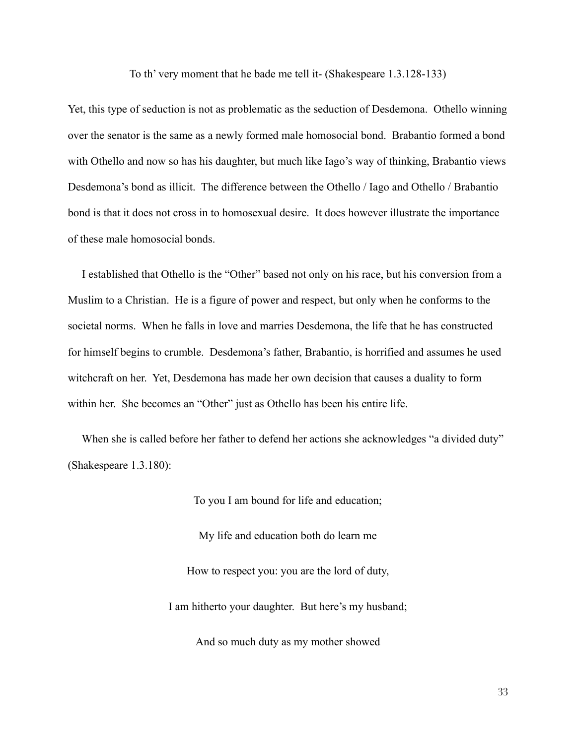To th' very moment that he bade me tell it- (Shakespeare 1.3.128-133)

Yet, this type of seduction is not as problematic as the seduction of Desdemona. Othello winning over the senator is the same as a newly formed male homosocial bond. Brabantio formed a bond with Othello and now so has his daughter, but much like Iago's way of thinking, Brabantio views Desdemona's bond as illicit. The difference between the Othello / Iago and Othello / Brabantio bond is that it does not cross in to homosexual desire. It does however illustrate the importance of these male homosocial bonds.

I established that Othello is the "Other" based not only on his race, but his conversion from a Muslim to a Christian. He is a figure of power and respect, but only when he conforms to the societal norms. When he falls in love and marries Desdemona, the life that he has constructed for himself begins to crumble. Desdemona's father, Brabantio, is horrified and assumes he used witchcraft on her. Yet, Desdemona has made her own decision that causes a duality to form within her. She becomes an "Other" just as Othello has been his entire life.

When she is called before her father to defend her actions she acknowledges "a divided duty" (Shakespeare  $1.3.180$ ):

To you I am bound for life and education;

My life and education both do learn me How to respect you: you are the lord of duty, I am hitherto your daughter. But here's my husband;

And so much duty as my mother showed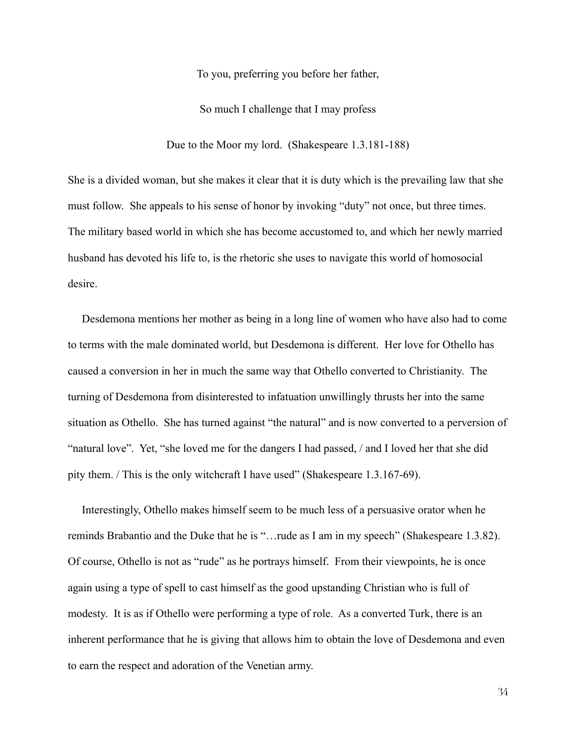To you, preferring you before her father,

So much I challenge that I may profess

Due to the Moor my lord. (Shakespeare 1.3.181-188)

She is a divided woman, but she makes it clear that it is duty which is the prevailing law that she must follow. She appeals to his sense of honor by invoking "duty" not once, but three times. The military based world in which she has become accustomed to, and which her newly married husband has devoted his life to, is the rhetoric she uses to navigate this world of homosocial desire

Desdemona mentions her mother as being in a long line of women who have also had to come to terms with the male dominated world, but Desdemona is different. Her love for Othello has caused a conversion in her in much the same way that Othello converted to Christianity. The turning of Desdemona from disinterested to infatuation unwillingly thrusts her into the same situation as Othello. She has turned against "the natural" and is now converted to a perversion of "natural love". Yet, "she loved me for the dangers I had passed, / and I loved her that she did pity them. / This is the only witchcraft I have used" (Shakespeare 1.3.167-69).

Interestingly, Othello makes himself seem to be much less of a persuasive orator when he reminds Brabantio and the Duke that he is "... rude as I am in my speech" (Shakespeare 1.3.82). Of course, Othello is not as "rude" as he portrays himself. From their viewpoints, he is once again using a type of spell to cast himself as the good upstanding Christian who is full of modesty. It is as if Othello were performing a type of role. As a converted Turk, there is an inherent performance that he is giving that allows him to obtain the love of Desdemona and even to earn the respect and adoration of the Venetian army.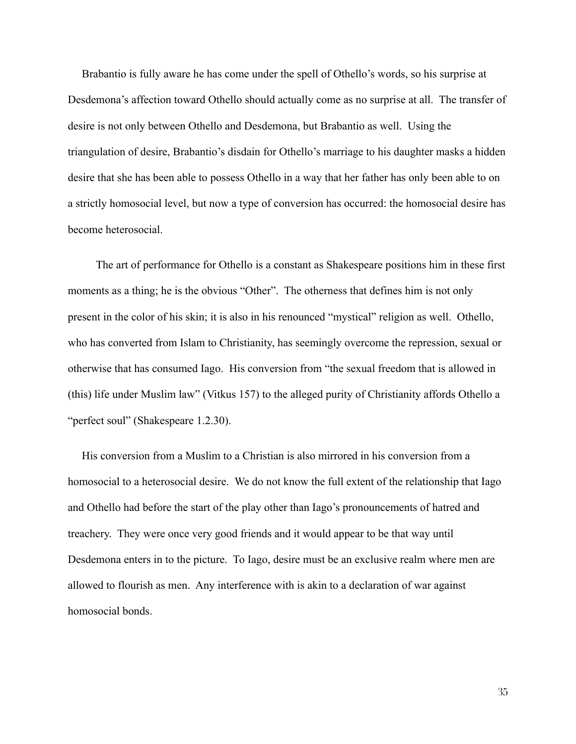Brabantio is fully aware he has come under the spell of Othello's words, so his surprise at Desdemona's affection toward Othello should actually come as no surprise at all. The transfer of desire is not only between Othello and Desdemona, but Brabantio as well. Using the triangulation of desire, Brabantio's disdain for Othello's marriage to his daughter masks a hidden desire that she has been able to possess Othello in a way that her father has only been able to on a strictly homosocial level, but now a type of conversion has occurred: the homosocial desire has become heterosocial.

The art of performance for Othello is a constant as Shakespeare positions him in these first moments as a thing; he is the obvious "Other". The otherness that defines him is not only present in the color of his skin; it is also in his renounced "mystical" religion as well. Othello, who has converted from Islam to Christianity, has seemingly overcome the repression, sexual or otherwise that has consumed Iago. His conversion from "the sexual freedom that is allowed in (this) life under Muslim law" (Vitkus 157) to the alleged purity of Christianity affords Othello a "perfect soul" (Shakespeare 1.2.30).

His conversion from a Muslim to a Christian is also mirrored in his conversion from a homosocial to a heterosocial desire. We do not know the full extent of the relationship that Iago and Othello had before the start of the play other than Iago's pronouncements of hatred and treachery. They were once very good friends and it would appear to be that way until Desdemona enters in to the picture. To Iago, desire must be an exclusive realm where men are allowed to flourish as men. Any interference with is akin to a declaration of war against homosocial bonds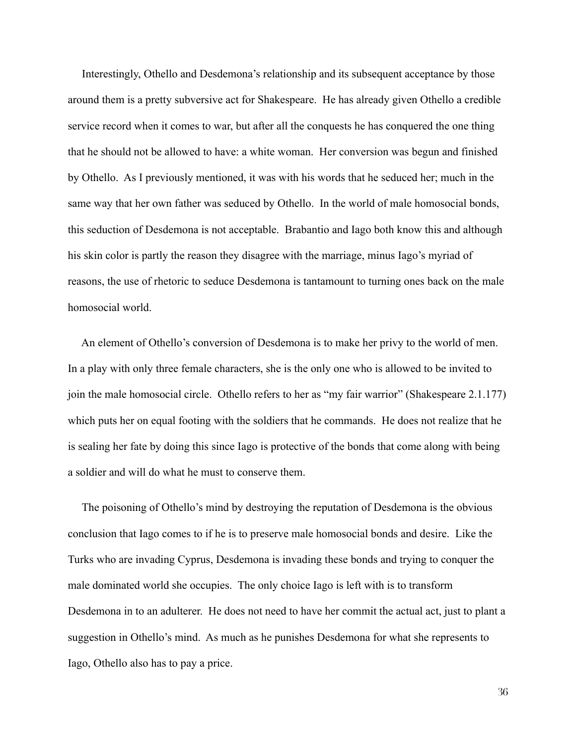Interestingly, Othello and Desdemona's relationship and its subsequent acceptance by those around them is a pretty subversive act for Shakespeare. He has already given Othello a credible service record when it comes to war, but after all the conquests he has conquered the one thing that he should not be allowed to have: a white woman. Her conversion was begun and finished by Othello. As I previously mentioned, it was with his words that he seduced her; much in the same way that her own father was seduced by Othello. In the world of male homosocial bonds, this seduction of Desdemona is not acceptable. Brabantio and Iago both know this and although his skin color is partly the reason they disagree with the marriage, minus Iago's myriad of reasons, the use of rhetoric to seduce Desdemona is tantamount to turning ones back on the male homosocial world

An element of Othello's conversion of Desdemona is to make her privy to the world of men. In a play with only three female characters, she is the only one who is allowed to be invited to join the male homosocial circle. Othello refers to her as "my fair warrior" (Shakespeare 2.1.177) which puts her on equal footing with the soldiers that he commands. He does not realize that he is sealing her fate by doing this since Iago is protective of the bonds that come along with being a soldier and will do what he must to conserve them.

The poisoning of Othello's mind by destroying the reputation of Desdemona is the obvious conclusion that Iago comes to if he is to preserve male homosocial bonds and desire. Like the Turks who are invading Cyprus, Desdemona is invading these bonds and trying to conquer the male dominated world she occupies. The only choice Iago is left with is to transform Desdemona in to an adulterer. He does not need to have her commit the actual act, just to plant a suggestion in Othello's mind. As much as he punishes Desdemona for what she represents to Iago, Othello also has to pay a price.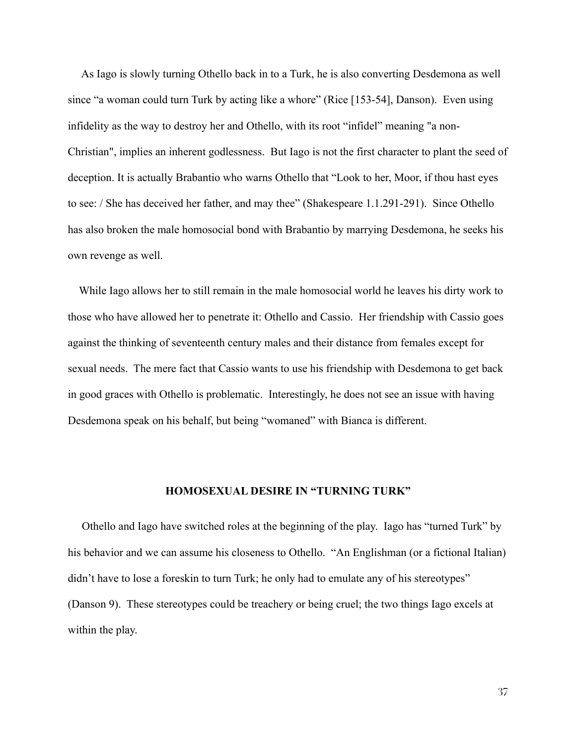As Iago is slowly turning Othello back in to a Turk, he is also converting Desdemona as well since "a woman could turn Turk by acting like a whore" (Rice [153-54], Danson). Even using infidelity as the way to destroy her and Othello, with its root "infidel" meaning "a non-Christian", implies an inherent godlessness. But Iago is not the first character to plant the seed of deception. It is actually Brabantio who warns Othello that "Look to her, Moor, if thou hast eyes to see: / She has deceived her father, and may thee" (Shakespeare 1.1.291-291). Since Othello has also broken the male homosocial bond with Brabantio by marrying Desdemona, he seeks his own revenge as well.

While Iago allows her to still remain in the male homosocial world he leaves his dirty work to those who have allowed her to penetrate it: Othello and Cassio. Her friendship with Cassio goes against the thinking of seventeenth century males and their distance from females except for sexual needs. The mere fact that Cassio wants to use his friendship with Desdemona to get back in good graces with Othello is problematic. Interestingly, he does not see an issue with having Desdemona speak on his behalf, but being "womaned" with Bianca is different.

### **HOMOSEXUAL DESIRE IN "TURNING TURK"**

Othello and Iago have switched roles at the beginning of the play. Iago has "turned Turk" by his behavior and we can assume his closeness to Othello. "An Englishman (or a fictional Italian) didn't have to lose a foreskin to turn Turk; he only had to emulate any of his stereotypes" (Danson 9). These stereotypes could be treachery or being cruel; the two things Iago excels at within the play.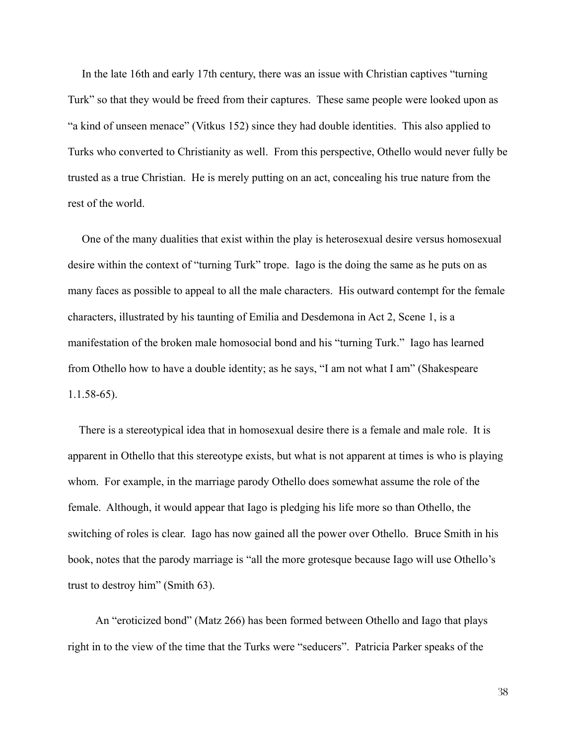In the late 16th and early 17th century, there was an issue with Christian captives "turning" Turk" so that they would be freed from their captures. These same people were looked upon as "a kind of unseen menace" (Vitkus 152) since they had double identities. This also applied to Turks who converted to Christianity as well. From this perspective, Othello would never fully be trusted as a true Christian. He is merely putting on an act, concealing his true nature from the rest of the world

One of the many dualities that exist within the play is heterosexual desire versus homosexual desire within the context of "turning Turk" trope. Iago is the doing the same as he puts on as many faces as possible to appeal to all the male characters. His outward contempt for the female characters, illustrated by his taunting of Emilia and Desdemona in Act 2, Scene 1, is a manifestation of the broken male homosocial bond and his "turning Turk." Iago has learned from Othello how to have a double identity; as he says, "I am not what I am" (Shakespeare  $1.1.58-65$ ).

There is a stereotypical idea that in homosexual desire there is a female and male role. It is apparent in Othello that this stereotype exists, but what is not apparent at times is who is playing whom. For example, in the marriage parody Othello does somewhat assume the role of the female. Although, it would appear that Iago is pledging his life more so than Othello, the switching of roles is clear. Iago has now gained all the power over Othello. Bruce Smith in his book, notes that the parody marriage is "all the more grotesque because Iago will use Othello's trust to destroy him" (Smith 63).

An "eroticized bond" (Matz 266) has been formed between Othello and Iago that plays right in to the view of the time that the Turks were "seducers". Patricia Parker speaks of the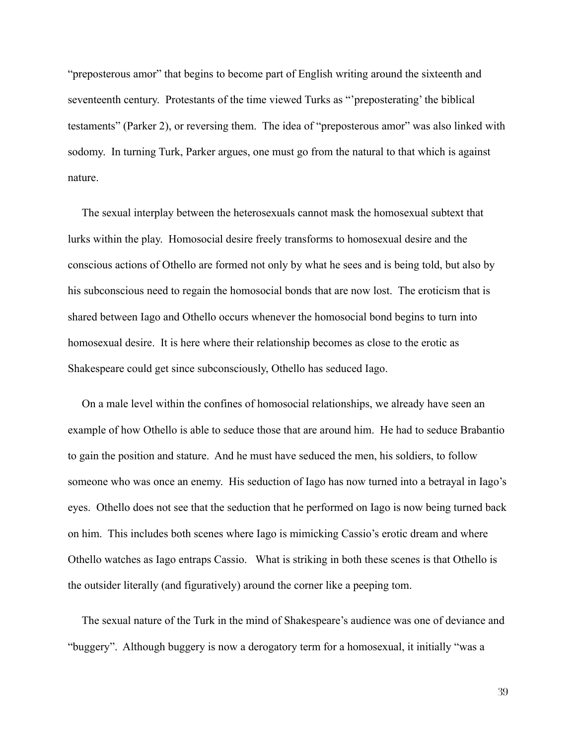"preposterous amor" that begins to become part of English writing around the sixteenth and seventeenth century. Protestants of the time viewed Turks as "preposterating' the biblical testaments" (Parker 2), or reversing them. The idea of "preposterous amor" was also linked with sodomy. In turning Turk, Parker argues, one must go from the natural to that which is against nature.

The sexual interplay between the heterosexuals cannot mask the homosexual subtext that lurks within the play. Homosocial desire freely transforms to homosexual desire and the conscious actions of Othello are formed not only by what he sees and is being told, but also by his subconscious need to regain the homosocial bonds that are now lost. The eroticism that is shared between Iago and Othello occurs whenever the homosocial bond begins to turn into homosexual desire. It is here where their relationship becomes as close to the erotic as Shakespeare could get since subconsciously, Othello has seduced Iago.

On a male level within the confines of homosocial relationships, we already have seen an example of how Othello is able to seduce those that are around him. He had to seduce Brabantio to gain the position and stature. And he must have seduced the men, his soldiers, to follow someone who was once an enemy. His seduction of Iago has now turned into a betrayal in Iago's eyes. Othello does not see that the seduction that he performed on Iago is now being turned back on him. This includes both scenes where Iago is mimicking Cassio's erotic dream and where Othello watches as Iago entraps Cassio. What is striking in both these scenes is that Othello is the outsider literally (and figuratively) around the corner like a peeping tom.

The sexual nature of the Turk in the mind of Shakespeare's audience was one of deviance and "buggery". Although buggery is now a derogatory term for a homosexual, it initially "was a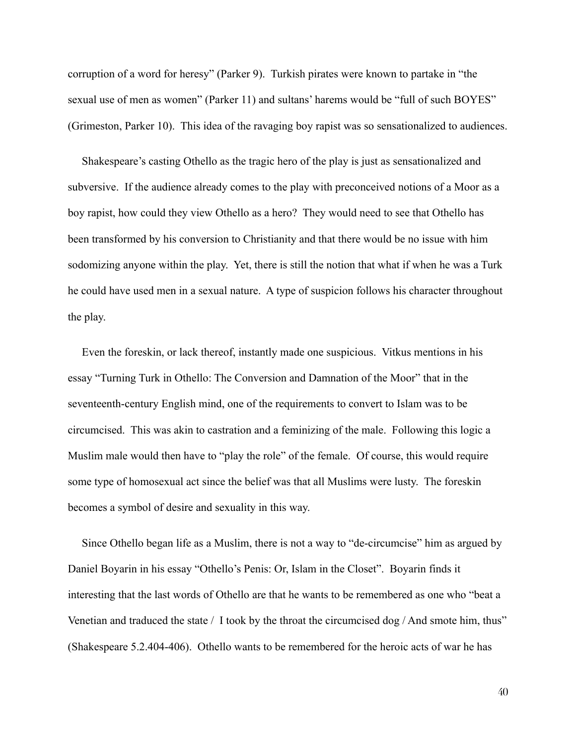corruption of a word for heresy" (Parker 9). Turkish pirates were known to partake in "the sexual use of men as women" (Parker 11) and sultans' harems would be "full of such BOYES" (Grimeston, Parker 10). This idea of the ravaging boy rapist was so sensationalized to audiences.

Shakespeare's casting Othello as the tragic hero of the play is just as sensationalized and subversive. If the audience already comes to the play with preconceived notions of a Moor as a boy rapist, how could they view Othello as a hero? They would need to see that Othello has been transformed by his conversion to Christianity and that there would be no issue with him sodomizing anyone within the play. Yet, there is still the notion that what if when he was a Turk he could have used men in a sexual nature. A type of suspicion follows his character throughout the play.

Even the foreskin, or lack thereof, instantly made one suspicious. Vitkus mentions in his essay "Turning Turk in Othello: The Conversion and Damnation of the Moor" that in the seventeenth-century English mind, one of the requirements to convert to Islam was to be circumcised. This was akin to castration and a feminizing of the male. Following this logic a Muslim male would then have to "play the role" of the female. Of course, this would require some type of homosexual act since the belief was that all Muslims were lusty. The foreskin becomes a symbol of desire and sexuality in this way.

Since Othello began life as a Muslim, there is not a way to "de-circumcise" him as argued by Daniel Boyarin in his essay "Othello's Penis: Or, Islam in the Closet". Boyarin finds it interesting that the last words of Othello are that he wants to be remembered as one who "beat a Venetian and traduced the state / I took by the throat the circumcised dog / And smote him, thus" (Shakespeare 5.2.404-406). Othello wants to be remembered for the heroic acts of war he has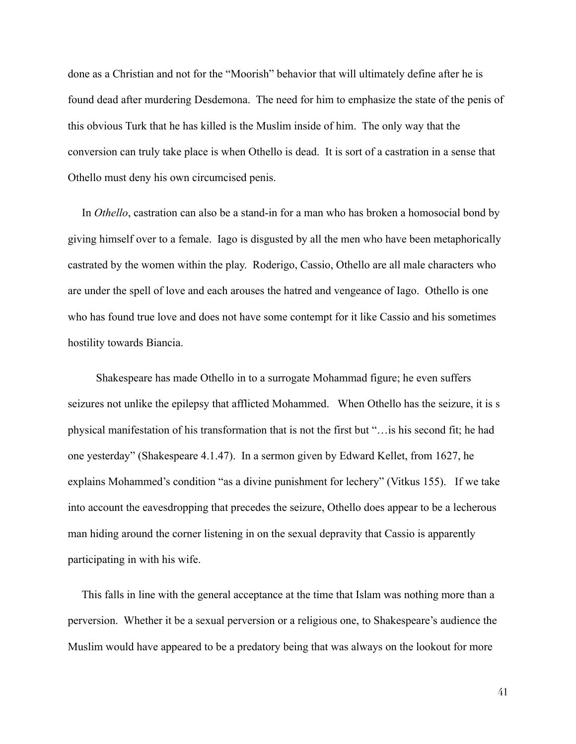done as a Christian and not for the "Moorish" behavior that will ultimately define after he is found dead after murdering Desdemona. The need for him to emphasize the state of the penis of this obvious Turk that he has killed is the Muslim inside of him. The only way that the conversion can truly take place is when Othello is dead. It is sort of a castration in a sense that Othello must deny his own circumcised penis.

In *Othello*, castration can also be a stand-in for a man who has broken a homosocial bond by giving himself over to a female. Iago is disgusted by all the men who have been metaphorically castrated by the women within the play. Roderigo, Cassio, Othello are all male characters who are under the spell of love and each arouses the hatred and vengeance of Iago. Othello is one who has found true love and does not have some contempt for it like Cassio and his sometimes hostility towards Biancia.

Shakespeare has made Othello in to a surrogate Mohammad figure; he even suffers seizures not unlike the epilepsy that afflicted Mohammed. When Othello has the seizure, it is s physical manifestation of his transformation that is not the first but "... is his second fit; he had one yesterday" (Shakespeare 4.1.47). In a sermon given by Edward Kellet, from 1627, he explains Mohammed's condition "as a divine punishment for lechery" (Vitkus 155). If we take into account the eavesdropping that precedes the seizure, Othello does appear to be a lecherous man hiding around the corner listening in on the sexual depravity that Cassio is apparently participating in with his wife.

This falls in line with the general acceptance at the time that Islam was nothing more than a perversion. Whether it be a sexual perversion or a religious one, to Shakespeare's audience the Muslim would have appeared to be a predatory being that was always on the lookout for more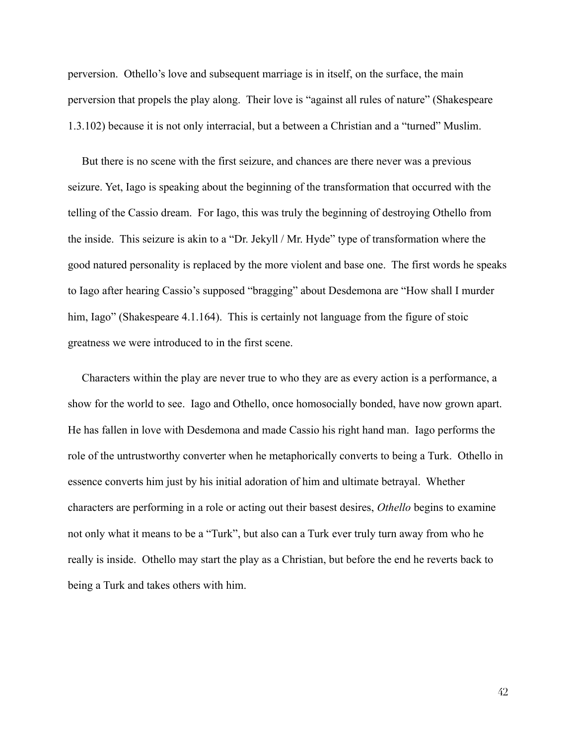perversion. Othello's love and subsequent marriage is in itself, on the surface, the main perversion that propels the play along. Their love is "against all rules of nature" (Shakespeare 1.3.102) because it is not only interracial, but a between a Christian and a "turned" Muslim.

But there is no scene with the first seizure, and chances are there never was a previous seizure. Yet, Iago is speaking about the beginning of the transformation that occurred with the telling of the Cassio dream. For Iago, this was truly the beginning of destroying Othello from the inside. This seizure is akin to a "Dr. Jekyll / Mr. Hyde" type of transformation where the good natured personality is replaced by the more violent and base one. The first words he speaks to Iago after hearing Cassio's supposed "bragging" about Desdemona are "How shall I murder him, Iago" (Shakespeare 4.1.164). This is certainly not language from the figure of stoic greatness we were introduced to in the first scene.

Characters within the play are never true to who they are as every action is a performance, a show for the world to see. Iago and Othello, once homosocially bonded, have now grown apart. He has fallen in love with Desdemona and made Cassio his right hand man. Iago performs the role of the untrustworthy converter when he metaphorically converts to being a Turk. Othello in essence converts him just by his initial adoration of him and ultimate betrayal. Whether characters are performing in a role or acting out their basest desires, *Othello* begins to examine not only what it means to be a "Turk", but also can a Turk ever truly turn away from who he really is inside. Othello may start the play as a Christian, but before the end he reverts back to being a Turk and takes others with him.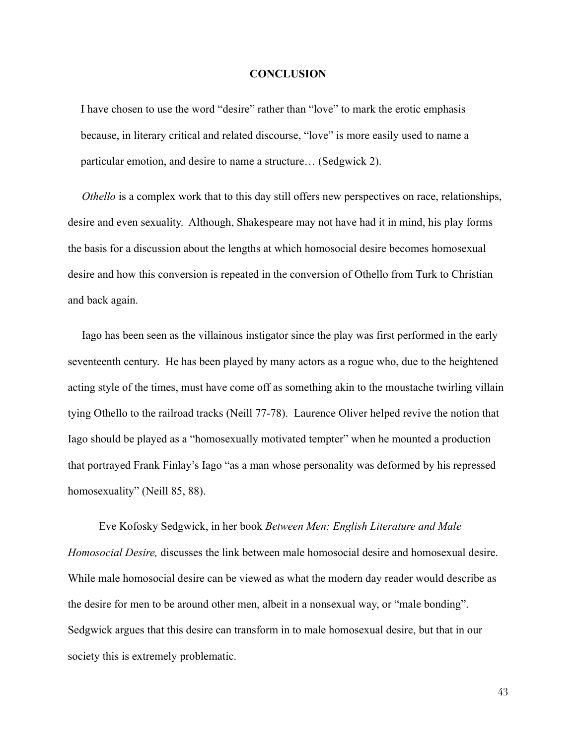#### **CONCLUSION**

I have chosen to use the word "desire" rather than "love" to mark the erotic emphasis because, in literary critical and related discourse, "love" is more easily used to name a particular emotion, and desire to name a structure... (Sedgwick 2).

Othello is a complex work that to this day still offers new perspectives on race, relationships, desire and even sexuality. Although, Shakespeare may not have had it in mind, his play forms the basis for a discussion about the lengths at which homosocial desire becomes homosexual desire and how this conversion is repeated in the conversion of Othello from Turk to Christian and back again.

Iago has been seen as the villainous instigator since the play was first performed in the early seventeenth century. He has been played by many actors as a rogue who, due to the heightened acting style of the times, must have come off as something akin to the moustache twirling villain tying Othello to the railroad tracks (Neill 77-78). Laurence Oliver helped revive the notion that Iago should be played as a "homosexually motivated tempter" when he mounted a production that portrayed Frank Finlay's Iago "as a man whose personality was deformed by his repressed homosexuality" (Neill 85, 88).

Eve Kofosky Sedgwick, in her book Between Men: English Literature and Male *Homosocial Desire*, discusses the link between male homosocial desire and homosexual desire. While male homosocial desire can be viewed as what the modern day reader would describe as the desire for men to be around other men, albeit in a nonsexual way, or "male bonding". Sedgwick argues that this desire can transform in to male homosexual desire, but that in our society this is extremely problematic.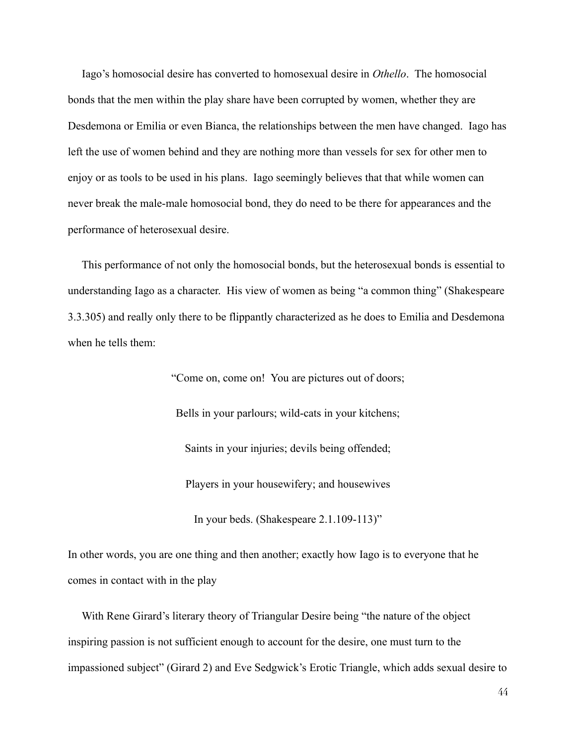Iago's homosocial desire has converted to homosexual desire in *Othello*. The homosocial bonds that the men within the play share have been corrupted by women, whether they are Desdemona or Emilia or even Bianca, the relationships between the men have changed. Iago has left the use of women behind and they are nothing more than vessels for sex for other men to enjoy or as tools to be used in his plans. Iago seemingly believes that that while women can never break the male-male homosocial bond, they do need to be there for appearances and the performance of heterosexual desire.

This performance of not only the homosocial bonds, but the heterosexual bonds is essential to understanding Iago as a character. His view of women as being "a common thing" (Shakespeare 3.3.305) and really only there to be flippantly characterized as he does to Emilia and Desdemona when he tells them:

"Come on, come on! You are pictures out of doors;

Bells in your parlours; wild-cats in your kitchens;

Saints in your injuries; devils being offended;

Players in your housewifery; and housewives

In your beds. (Shakespeare  $2.1.109 - 113$ )"

In other words, you are one thing and then another; exactly how Iago is to everyone that he comes in contact with in the play

With Rene Girard's literary theory of Triangular Desire being "the nature of the object inspiring passion is not sufficient enough to account for the desire, one must turn to the impassioned subject" (Girard 2) and Eve Sedgwick's Erotic Triangle, which adds sexual desire to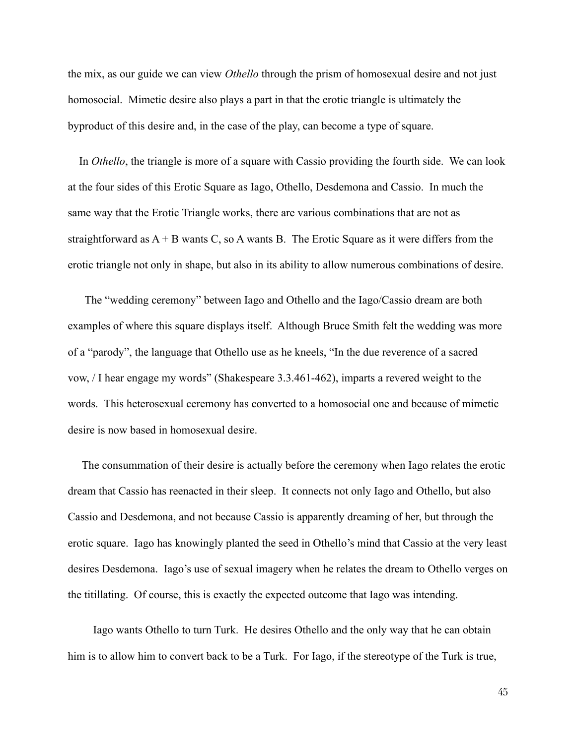the mix, as our guide we can view Othello through the prism of homosexual desire and not just homosocial. Mimetic desire also plays a part in that the erotic triangle is ultimately the byproduct of this desire and, in the case of the play, can become a type of square.

In *Othello*, the triangle is more of a square with Cassio providing the fourth side. We can look at the four sides of this Erotic Square as Iago, Othello, Desdemona and Cassio. In much the same way that the Erotic Triangle works, there are various combinations that are not as straightforward as  $A + B$  wants C, so A wants B. The Erotic Square as it were differs from the erotic triangle not only in shape, but also in its ability to allow numerous combinations of desire.

The "wedding ceremony" between Iago and Othello and the Iago/Cassio dream are both examples of where this square displays itself. Although Bruce Smith felt the wedding was more of a "parody", the language that Othello use as he kneels, "In the due reverence of a sacred yow, / I hear engage my words" (Shakespeare 3.3.461-462), imparts a revered weight to the words. This heterosexual ceremony has converted to a homosocial one and because of mimetic desire is now based in homosexual desire.

The consummation of their desire is actually before the ceremony when Iago relates the erotic dream that Cassio has reenacted in their sleep. It connects not only Iago and Othello, but also Cassio and Desdemona, and not because Cassio is apparently dreaming of her, but through the erotic square. Iago has knowingly planted the seed in Othello's mind that Cassio at the very least desires Desdemona. Iago's use of sexual imagery when he relates the dream to Othello verges on the titillating. Of course, this is exactly the expected outcome that Iago was intending.

Iago wants Othello to turn Turk. He desires Othello and the only way that he can obtain him is to allow him to convert back to be a Turk. For Iago, if the stereotype of the Turk is true,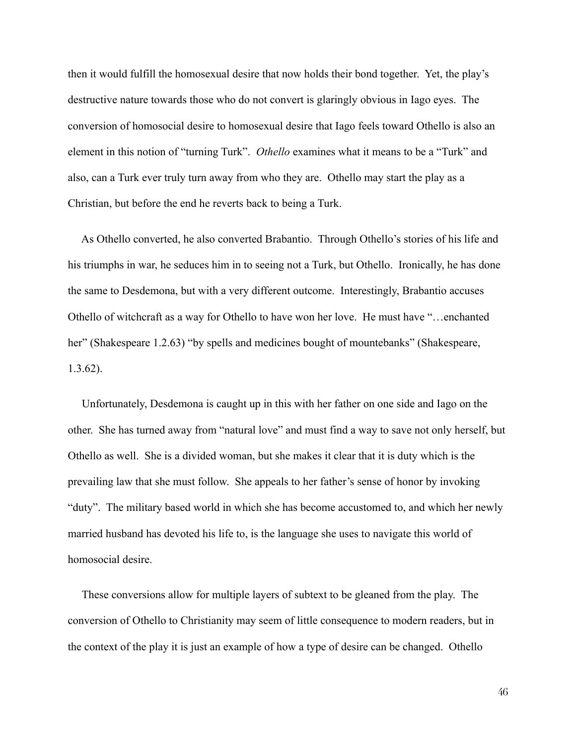then it would fulfill the homosexual desire that now holds their bond together. Yet, the play's destructive nature towards those who do not convert is glaringly obvious in Iago eyes. The conversion of homosocial desire to homosexual desire that Iago feels toward Othello is also an element in this notion of "turning Turk". Othello examines what it means to be a "Turk" and also, can a Turk ever truly turn away from who they are. Othello may start the play as a Christian, but before the end he reverts back to being a Turk.

As Othello converted, he also converted Brabantio. Through Othello's stories of his life and his triumphs in war, he seduces him in to seeing not a Turk, but Othello. Ironically, he has done the same to Desdemona, but with a very different outcome. Interestingly, Brabantio accuses Othello of witchcraft as a way for Othello to have won her love. He must have "...enchanted" her" (Shakespeare 1.2.63) "by spells and medicines bought of mountebanks" (Shakespeare,  $1.3.62$ ).

Unfortunately, Desdemona is caught up in this with her father on one side and Iago on the other. She has turned away from "natural love" and must find a way to save not only herself, but Othello as well. She is a divided woman, but she makes it clear that it is duty which is the prevailing law that she must follow. She appeals to her father's sense of honor by invoking "duty". The military based world in which she has become accustomed to, and which her newly married husband has devoted his life to, is the language she uses to navigate this world of homosocial desire.

These conversions allow for multiple layers of subtext to be gleaned from the play. The conversion of Othello to Christianity may seem of little consequence to modern readers, but in the context of the play it is just an example of how a type of desire can be changed. Othello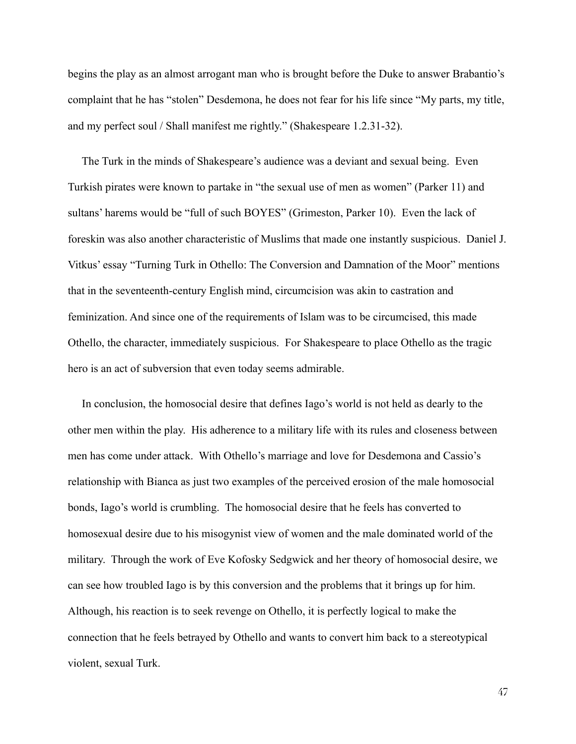begins the play as an almost arrogant man who is brought before the Duke to answer Brabantio's complaint that he has "stolen" Desdemona, he does not fear for his life since "My parts, my title, and my perfect soul / Shall manifest me rightly." (Shakespeare 1.2.31-32).

The Turk in the minds of Shakespeare's audience was a deviant and sexual being. Even Turkish pirates were known to partake in "the sexual use of men as women" (Parker 11) and sultans' harems would be "full of such BOYES" (Grimeston, Parker 10). Even the lack of foreskin was also another characteristic of Muslims that made one instantly suspicious. Daniel J. Vitkus' essay "Turning Turk in Othello: The Conversion and Damnation of the Moor" mentions that in the seventeenth-century English mind, circumcision was akin to castration and feminization. And since one of the requirements of Islam was to be circumcised, this made Othello, the character, immediately suspicious. For Shakespeare to place Othello as the tragic hero is an act of subversion that even today seems admirable.

In conclusion, the homosocial desire that defines Iago's world is not held as dearly to the other men within the play. His adherence to a military life with its rules and closeness between men has come under attack. With Othello's marriage and love for Desdemona and Cassio's relationship with Bianca as just two examples of the perceived erosion of the male homosocial bonds, Iago's world is crumbling. The homosocial desire that he feels has converted to homosexual desire due to his misogynist view of women and the male dominated world of the military. Through the work of Eve Kofosky Sedgwick and her theory of homosocial desire, we can see how troubled Iago is by this conversion and the problems that it brings up for him. Although, his reaction is to seek revenge on Othello, it is perfectly logical to make the connection that he feels betrayed by Othello and wants to convert him back to a stereotypical violent, sexual Turk.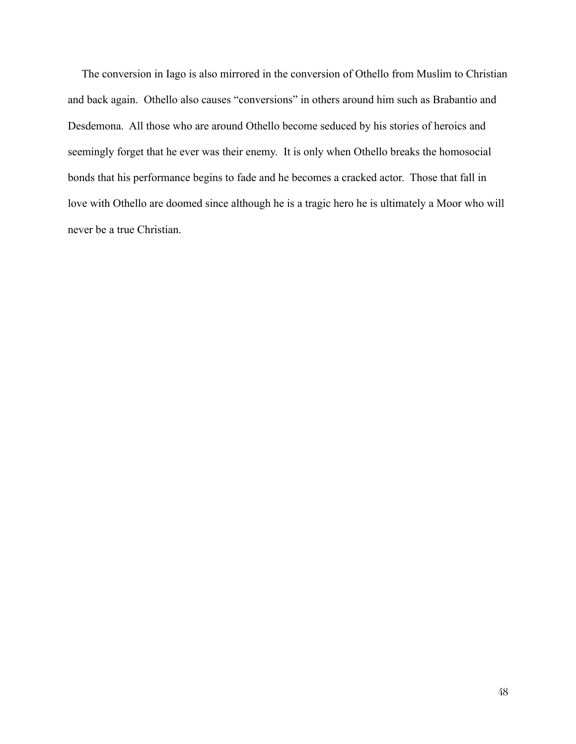The conversion in Iago is also mirrored in the conversion of Othello from Muslim to Christian and back again. Othello also causes "conversions" in others around him such as Brabantio and Desdemona. All those who are around Othello become seduced by his stories of heroics and seemingly forget that he ever was their enemy. It is only when Othello breaks the homosocial bonds that his performance begins to fade and he becomes a cracked actor. Those that fall in love with Othello are doomed since although he is a tragic hero he is ultimately a Moor who will never be a true Christian.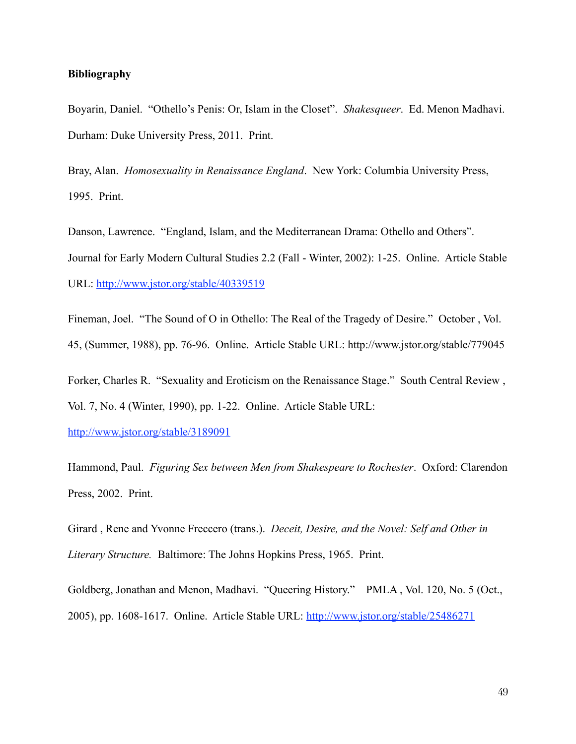### **Bibliography**

Boyarin, Daniel. "Othello's Penis: Or, Islam in the Closet". Shakesqueer. Ed. Menon Madhavi. Durham: Duke University Press, 2011. Print.

Bray, Alan. Homosexuality in Renaissance England. New York: Columbia University Press, 1995. Print.

Danson, Lawrence. "England, Islam, and the Mediterranean Drama: Othello and Others". Journal for Early Modern Cultural Studies 2.2 (Fall - Winter, 2002): 1-25. Online. Article Stable URL: http://www.jstor.org/stable/40339519

Fineman, Joel. "The Sound of O in Othello: The Real of the Tragedy of Desire." October, Vol. 45, (Summer, 1988), pp. 76-96. Online. Article Stable URL: http://www.jstor.org/stable/779045

Forker, Charles R. "Sexuality and Eroticism on the Renaissance Stage." South Central Review, Vol. 7, No. 4 (Winter, 1990), pp. 1-22. Online. Article Stable URL:

http://www.jstor.org/stable/3189091

Hammond, Paul. Figuring Sex between Men from Shakespeare to Rochester. Oxford: Clarendon Press, 2002. Print.

Girard, Rene and Yvonne Freccero (trans.). Deceit, Desire, and the Novel: Self and Other in Literary Structure. Baltimore: The Johns Hopkins Press, 1965. Print.

Goldberg, Jonathan and Menon, Madhavi. "Queering History." PMLA, Vol. 120, No. 5 (Oct., 2005), pp. 1608-1617. Online. Article Stable URL: http://www.jstor.org/stable/25486271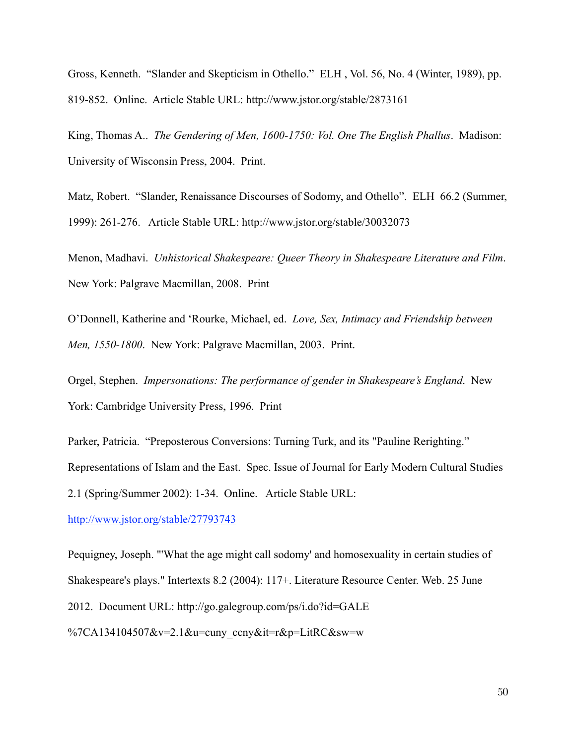Gross, Kenneth. "Slander and Skepticism in Othello." ELH, Vol. 56, No. 4 (Winter, 1989), pp. 819-852. Online. Article Stable URL: http://www.jstor.org/stable/2873161

King, Thomas A.. The Gendering of Men, 1600-1750: Vol. One The English Phallus. Madison: University of Wisconsin Press, 2004. Print.

Matz, Robert. "Slander, Renaissance Discourses of Sodomy, and Othello". ELH 66.2 (Summer, 1999): 261-276. Article Stable URL: http://www.jstor.org/stable/30032073

Menon, Madhavi. Unhistorical Shakespeare: Queer Theory in Shakespeare Literature and Film. New York: Palgrave Macmillan, 2008. Print

O'Donnell, Katherine and 'Rourke, Michael, ed. Love, Sex, Intimacy and Friendship between Men, 1550-1800. New York: Palgrave Macmillan, 2003. Print.

Orgel, Stephen. Impersonations: The performance of gender in Shakespeare's England. New York: Cambridge University Press, 1996. Print

Parker, Patricia. "Preposterous Conversions: Turning Turk, and its "Pauline Rerighting." Representations of Islam and the East. Spec. Issue of Journal for Early Modern Cultural Studies 2.1 (Spring/Summer 2002): 1-34. Online. Article Stable URL:

http://www.jstor.org/stable/27793743

Pequigney, Joseph. "What the age might call sodomy' and homosexuality in certain studies of Shakespeare's plays." Intertexts 8.2 (2004): 117+. Literature Resource Center. Web. 25 June 2012. Document URL: http://go.galegroup.com/ps/i.do?id=GALE %7CA134104507&v=2.1&u=cuny ccny&it=r&p=LitRC&sw=w